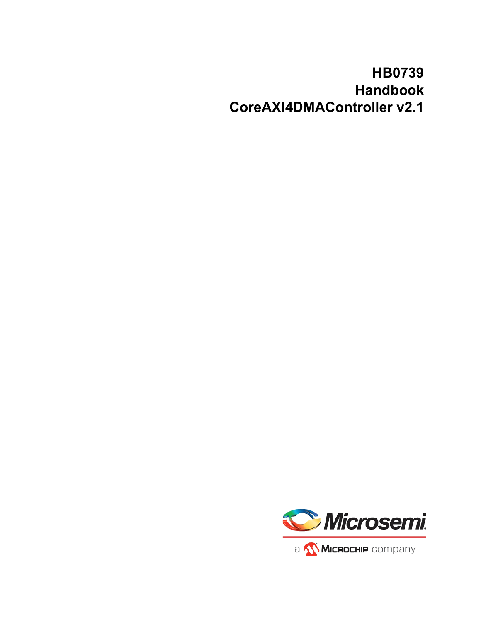# **HB0739 Handbook CoreAXI4DMAController v2.1**

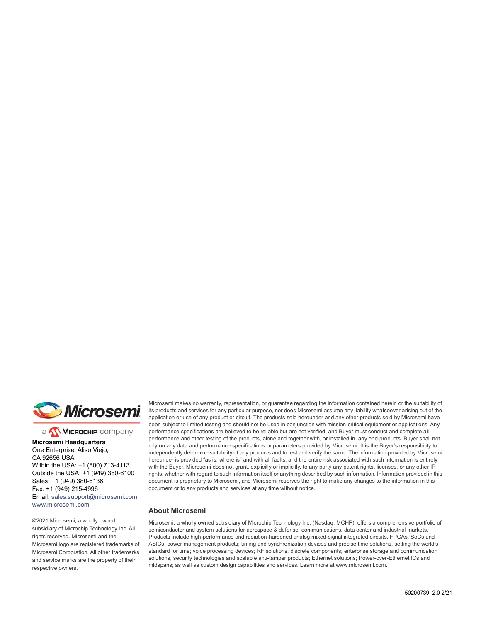

a **WIMICROCHIP** company

**Microsemi Headquarters** One Enterprise, Aliso Viejo, CA 92656 USA Within the USA: +1 (800) 713-4113 Outside the USA: +1 (949) 380-6100 Sales: +1 (949) 380-6136 Fax: +1 (949) 215-4996 Email: [sales.support@microsemi.com](mailto:sales.support@microsemi.com) [www.microsemi.com](http://www.microsemi.com)

©2021 Microsemi, a wholly owned subsidiary of Microchip Technology Inc. All rights reserved. Microsemi and the Microsemi logo are registered trademarks of Microsemi Corporation. All other trademarks and service marks are the property of their respective owners.

Microsemi makes no warranty, representation, or guarantee regarding the information contained herein or the suitability of its products and services for any particular purpose, nor does Microsemi assume any liability whatsoever arising out of the application or use of any product or circuit. The products sold hereunder and any other products sold by Microsemi have been subject to limited testing and should not be used in conjunction with mission-critical equipment or applications. Any performance specifications are believed to be reliable but are not verified, and Buyer must conduct and complete all performance and other testing of the products, alone and together with, or installed in, any end-products. Buyer shall not rely on any data and performance specifications or parameters provided by Microsemi. It is the Buyer's responsibility to independently determine suitability of any products and to test and verify the same. The information provided by Microsemi hereunder is provided "as is, where is" and with all faults, and the entire risk associated with such information is entirely with the Buyer. Microsemi does not grant, explicitly or implicitly, to any party any patent rights, licenses, or any other IP rights, whether with regard to such information itself or anything described by such information. Information provided in this document is proprietary to Microsemi, and Microsemi reserves the right to make any changes to the information in this document or to any products and services at any time without notice.

#### **About Microsemi**

Microsemi, a wholly owned subsidiary of Microchip Technology Inc. (Nasdaq: MCHP), offers a comprehensive portfolio of semiconductor and system solutions for aerospace & defense, communications, data center and industrial markets. Products include high-performance and radiation-hardened analog mixed-signal integrated circuits, FPGAs, SoCs and ASICs; power management products; timing and synchronization devices and precise time solutions, setting the world's standard for time; voice processing devices; RF solutions; discrete components; enterprise storage and communication solutions, security technologies and scalable anti-tamper products; Ethernet solutions; Power-over-Ethernet ICs and midspans; as well as custom design capabilities and services. Learn more at www.microsemi.com.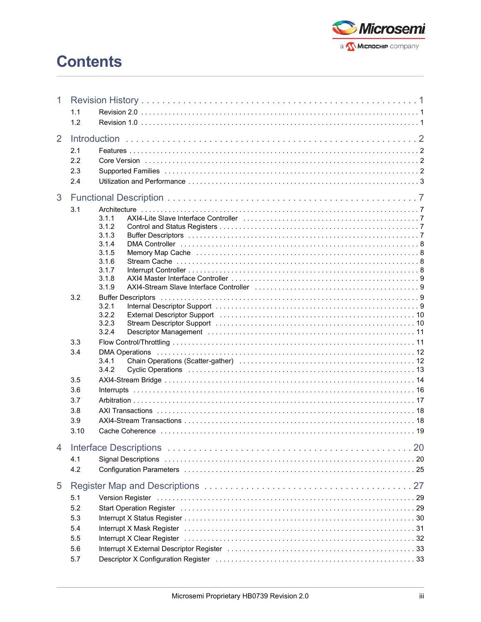# **Contents**



| 1 |      |                                                                                                                                                                                                                                |  |  |  |  |
|---|------|--------------------------------------------------------------------------------------------------------------------------------------------------------------------------------------------------------------------------------|--|--|--|--|
|   | 1.1  |                                                                                                                                                                                                                                |  |  |  |  |
|   | 1.2  |                                                                                                                                                                                                                                |  |  |  |  |
|   |      |                                                                                                                                                                                                                                |  |  |  |  |
| 2 |      |                                                                                                                                                                                                                                |  |  |  |  |
|   | 2.1  |                                                                                                                                                                                                                                |  |  |  |  |
|   | 2.2  |                                                                                                                                                                                                                                |  |  |  |  |
|   | 2.3  |                                                                                                                                                                                                                                |  |  |  |  |
|   | 2.4  |                                                                                                                                                                                                                                |  |  |  |  |
|   |      |                                                                                                                                                                                                                                |  |  |  |  |
| 3 |      |                                                                                                                                                                                                                                |  |  |  |  |
|   | 3.1  |                                                                                                                                                                                                                                |  |  |  |  |
|   |      | 3.1.1                                                                                                                                                                                                                          |  |  |  |  |
|   |      | 3.1.2                                                                                                                                                                                                                          |  |  |  |  |
|   |      | 3.1.3                                                                                                                                                                                                                          |  |  |  |  |
|   |      | 3.1.4                                                                                                                                                                                                                          |  |  |  |  |
|   |      | 3.1.5<br>Memory Map Cache increased and contact the contract of the contract of the Memory Map Cache in the contract of                                                                                                        |  |  |  |  |
|   |      | 3.1.6                                                                                                                                                                                                                          |  |  |  |  |
|   |      | 3.1.7<br>3.1.8                                                                                                                                                                                                                 |  |  |  |  |
|   |      | AXI4-Stream Slave Interface Controller (and the controller controller controller controller controller substitution of $9$<br>3.1.9                                                                                            |  |  |  |  |
|   | 3.2  |                                                                                                                                                                                                                                |  |  |  |  |
|   |      | 3.2.1                                                                                                                                                                                                                          |  |  |  |  |
|   |      | 3.2.2<br>External Descriptor Support (and all and all and all and all and all and all and all and all and all and all a                                                                                                        |  |  |  |  |
|   |      | 3.2.3<br>Stream Descriptor Support (and all and all and all and all and all and all and all and all and all and all and $10$                                                                                                   |  |  |  |  |
|   |      | 3.2.4                                                                                                                                                                                                                          |  |  |  |  |
|   | 3.3  |                                                                                                                                                                                                                                |  |  |  |  |
|   | 3.4  |                                                                                                                                                                                                                                |  |  |  |  |
|   |      | 3.4.1                                                                                                                                                                                                                          |  |  |  |  |
|   |      | 3.4.2                                                                                                                                                                                                                          |  |  |  |  |
|   | 3.5  |                                                                                                                                                                                                                                |  |  |  |  |
|   | 3.6  |                                                                                                                                                                                                                                |  |  |  |  |
|   | 3.7  |                                                                                                                                                                                                                                |  |  |  |  |
|   | 3.8  |                                                                                                                                                                                                                                |  |  |  |  |
|   | 3.9  |                                                                                                                                                                                                                                |  |  |  |  |
|   | 3.10 |                                                                                                                                                                                                                                |  |  |  |  |
|   |      |                                                                                                                                                                                                                                |  |  |  |  |
| 4 |      |                                                                                                                                                                                                                                |  |  |  |  |
|   | 4.1  |                                                                                                                                                                                                                                |  |  |  |  |
|   | 4.2  |                                                                                                                                                                                                                                |  |  |  |  |
|   |      |                                                                                                                                                                                                                                |  |  |  |  |
| 5 |      |                                                                                                                                                                                                                                |  |  |  |  |
|   | 5.1  | Version Register National Account of Account Account Account Account Account Account Account Account Account A                                                                                                                 |  |  |  |  |
|   | 5.2  | Start Operation Register (and according to the control of the control of the control of the control of the control of the control of the control of the control of the control of the control of the control of the control of |  |  |  |  |
|   | 5.3  |                                                                                                                                                                                                                                |  |  |  |  |
|   | 5.4  |                                                                                                                                                                                                                                |  |  |  |  |
|   | 5.5  |                                                                                                                                                                                                                                |  |  |  |  |
|   | 5.6  |                                                                                                                                                                                                                                |  |  |  |  |
|   |      |                                                                                                                                                                                                                                |  |  |  |  |
|   | 5.7  | Descriptor X Configuration Register (and all contained and all contained and all contained and all contained a                                                                                                                 |  |  |  |  |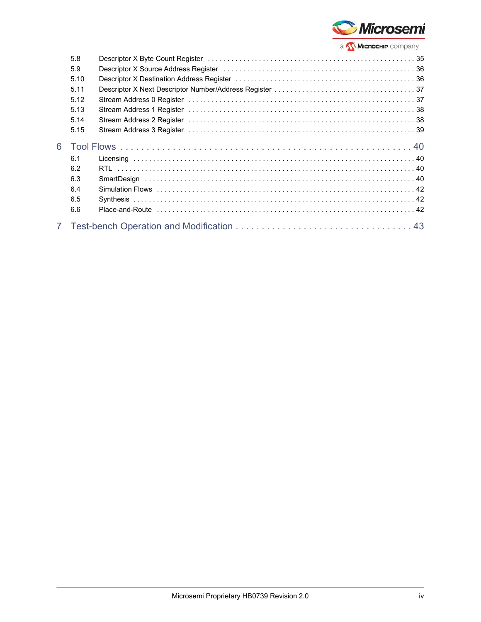

| 5.8  |  |  |  |  |  |
|------|--|--|--|--|--|
| 5.9  |  |  |  |  |  |
|      |  |  |  |  |  |
| 5.10 |  |  |  |  |  |
| 5.11 |  |  |  |  |  |
| 5.12 |  |  |  |  |  |
| 5.13 |  |  |  |  |  |
| 5.14 |  |  |  |  |  |
| 5.15 |  |  |  |  |  |
|      |  |  |  |  |  |
| 6.1  |  |  |  |  |  |
| 6.2  |  |  |  |  |  |
| 6.3  |  |  |  |  |  |
| 6.4  |  |  |  |  |  |
| 6.5  |  |  |  |  |  |
| 6.6  |  |  |  |  |  |
|      |  |  |  |  |  |
|      |  |  |  |  |  |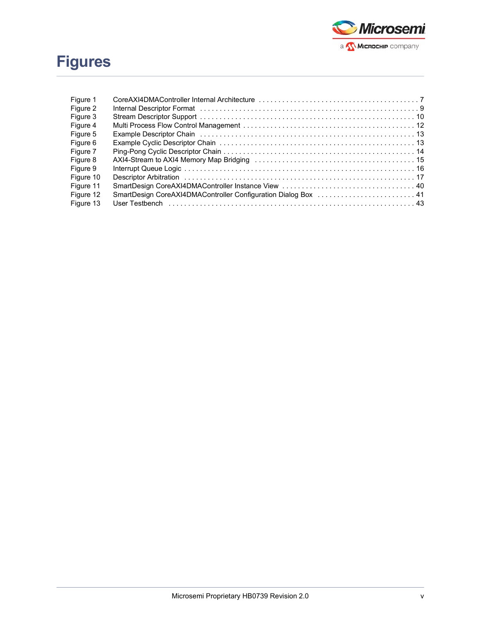

# **Figures**

| Figure 1  |                                                                |  |
|-----------|----------------------------------------------------------------|--|
| Figure 2  |                                                                |  |
| Figure 3  |                                                                |  |
| Figure 4  |                                                                |  |
| Figure 5  |                                                                |  |
| Figure 6  |                                                                |  |
| Figure 7  |                                                                |  |
| Figure 8  |                                                                |  |
| Figure 9  |                                                                |  |
| Figure 10 |                                                                |  |
| Figure 11 |                                                                |  |
| Figure 12 | SmartDesign CoreAXI4DMAController Configuration Dialog Box  41 |  |
| Figure 13 |                                                                |  |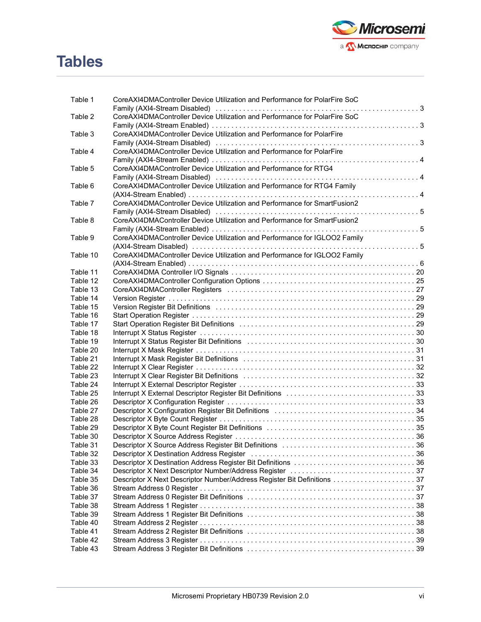

# **Tables**

| Table 1  |                                                                                                                                                                                                                                |  |
|----------|--------------------------------------------------------------------------------------------------------------------------------------------------------------------------------------------------------------------------------|--|
|          | CoreAXI4DMAController Device Utilization and Performance for PolarFire SoC                                                                                                                                                     |  |
| Table 2  | CoreAXI4DMAController Device Utilization and Performance for PolarFire SoC                                                                                                                                                     |  |
|          |                                                                                                                                                                                                                                |  |
| Table 3  |                                                                                                                                                                                                                                |  |
|          | CoreAXI4DMAController Device Utilization and Performance for PolarFire                                                                                                                                                         |  |
|          |                                                                                                                                                                                                                                |  |
| Table 4  | CoreAXI4DMAController Device Utilization and Performance for PolarFire                                                                                                                                                         |  |
|          |                                                                                                                                                                                                                                |  |
| Table 5  | CoreAXI4DMAController Device Utilization and Performance for RTG4                                                                                                                                                              |  |
|          | Family (AXI4-Stream Disabled) (and according to the control of the control of the control of the control of th                                                                                                                 |  |
| Table 6  | CoreAXI4DMAController Device Utilization and Performance for RTG4 Family                                                                                                                                                       |  |
|          |                                                                                                                                                                                                                                |  |
| Table 7  | CoreAXI4DMAController Device Utilization and Performance for SmartFusion2                                                                                                                                                      |  |
|          |                                                                                                                                                                                                                                |  |
| Table 8  | CoreAXI4DMAController Device Utilization and Performance for SmartFusion2                                                                                                                                                      |  |
|          |                                                                                                                                                                                                                                |  |
| Table 9  | CoreAXI4DMAController Device Utilization and Performance for IGLOO2 Family                                                                                                                                                     |  |
|          |                                                                                                                                                                                                                                |  |
| Table 10 | CoreAXI4DMAController Device Utilization and Performance for IGLOO2 Family                                                                                                                                                     |  |
|          |                                                                                                                                                                                                                                |  |
| Table 11 |                                                                                                                                                                                                                                |  |
| Table 12 |                                                                                                                                                                                                                                |  |
| Table 13 |                                                                                                                                                                                                                                |  |
| Table 14 |                                                                                                                                                                                                                                |  |
| Table 15 | Version Register Bit Definitions (all contained according to the contained and the Version Register Bit Definitions (all contained according to the Version Register Bit Definitions (all contains and the Version Register of |  |
| Table 16 |                                                                                                                                                                                                                                |  |
| Table 17 | Start Operation Register Bit Definitions (all contained according contained and Deration Register Bit Definitions (all contained according to the UP of Definition Assembly Definition and Definition Assembly Definition Asse |  |
| Table 18 |                                                                                                                                                                                                                                |  |
| Table 19 | Interrupt X Status Register Bit Definitions (all contained according contained and all of the status of 30                                                                                                                     |  |
| Table 20 |                                                                                                                                                                                                                                |  |
| Table 21 | Interrupt X Mask Register Bit Definitions (and the content of the content of the content of 31                                                                                                                                 |  |
| Table 22 |                                                                                                                                                                                                                                |  |
| Table 23 | Interrupt X Clear Register Bit Definitions (all accordinations) and the material state of $32$                                                                                                                                 |  |
| Table 24 |                                                                                                                                                                                                                                |  |
| Table 25 |                                                                                                                                                                                                                                |  |
| Table 26 |                                                                                                                                                                                                                                |  |
| Table 27 |                                                                                                                                                                                                                                |  |
| Table 28 |                                                                                                                                                                                                                                |  |
| Table 29 |                                                                                                                                                                                                                                |  |
| Table 30 |                                                                                                                                                                                                                                |  |
| Table 31 | Descriptor X Source Address Register Bit Definitions (and accommodation of 36                                                                                                                                                  |  |
| Table 32 | Descriptor X Destination Address Register (and accommodation of the control of the Stephen of Testination Address Register (and accommodation of the Stephen of Testina) and the District of the Stephen of Testina and Testin |  |
| Table 33 |                                                                                                                                                                                                                                |  |
| Table 34 |                                                                                                                                                                                                                                |  |
| Table 35 |                                                                                                                                                                                                                                |  |
| Table 36 |                                                                                                                                                                                                                                |  |
| Table 37 |                                                                                                                                                                                                                                |  |
| Table 38 |                                                                                                                                                                                                                                |  |
| Table 39 |                                                                                                                                                                                                                                |  |
| Table 40 |                                                                                                                                                                                                                                |  |
| Table 41 |                                                                                                                                                                                                                                |  |
| Table 42 |                                                                                                                                                                                                                                |  |
| Table 43 |                                                                                                                                                                                                                                |  |
|          |                                                                                                                                                                                                                                |  |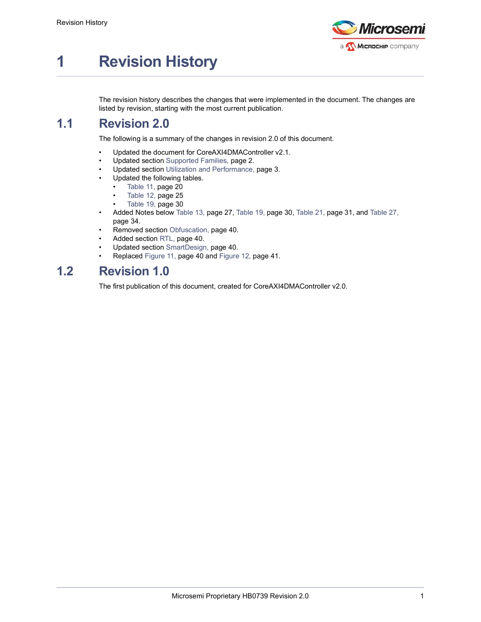

# <span id="page-6-0"></span>**1 Revision History**

The revision history describes the changes that were implemented in the document. The changes are listed by revision, starting with the most current publication.

### <span id="page-6-1"></span>**1.1 Revision 2.0**

The following is a summary of the changes in revision 2.0 of this document.

- Updated the document for CoreAXI4DMAController v2.1.
- Updated section [Supported Families, page](#page-7-4) 2.
- Updated section [Utilization and Performance, page](#page-8-4) 3.
- Updated the following tables.
	- Table [11, page](#page-25-3) 20
	- Table [12, page](#page-30-2) 25
	- Table [19, page](#page-35-3) 30
- Added Notes below Table [13, page](#page-32-2) 27, Table [19, page](#page-35-3) 30, Table [21, page](#page-36-3) 31, and [Table](#page-39-1) 27, [page](#page-39-1) 34.
- Removed section Obfuscation, page 40.
- Added section [RTL, page](#page-45-5) 40.
- Updated section [SmartDesign, page](#page-45-6) 40.
- Replaced Figure [11, page](#page-45-7) 40 and Figure [12, page](#page-46-1) 41.

### <span id="page-6-2"></span>**1.2 Revision 1.0**

The first publication of this document, created for CoreAXI4DMAController v2.0.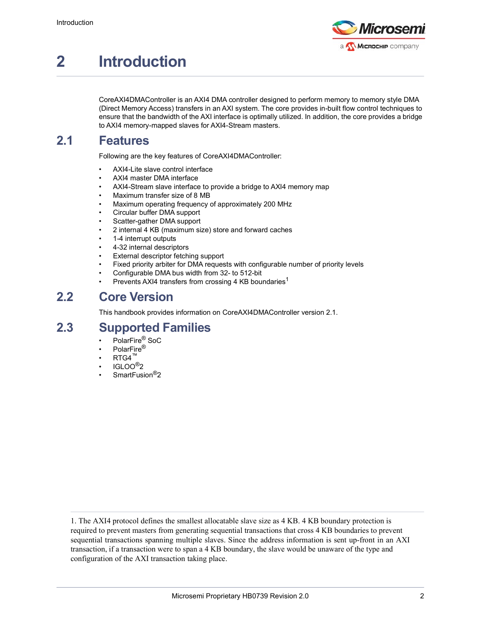

# <span id="page-7-0"></span>**2 Introduction**

CoreAXI4DMAController is an AXI4 DMA controller designed to perform memory to memory style DMA (Direct Memory Access) transfers in an AXI system. The core provides in-built flow control techniques to ensure that the bandwidth of the AXI interface is optimally utilized. In addition, the core provides a bridge to AXI4 memory-mapped slaves for AXI4-Stream masters.

## <span id="page-7-1"></span>**2.1 Features**

Following are the key features of CoreAXI4DMAController:

- AXI4-Lite slave control interface
- AXI4 master DMA interface
- AXI4-Stream slave interface to provide a bridge to AXI4 memory map
- Maximum transfer size of 8 MB
- Maximum operating frequency of approximately 200 MHz
- Circular buffer DMA support
- Scatter-gather DMA support
- 2 internal 4 KB (maximum size) store and forward caches
- 1-4 interrupt outputs
- 4-32 internal descriptors
- External descriptor fetching support
- Fixed priority arbiter for DMA requests with configurable number of priority levels
- Configurable DMA bus width from 32- to 512-bit
- Prevents AXI4 transfers from crossing 4 KB boundaries<sup>1</sup>

### <span id="page-7-2"></span>**2.2 Core Version**

<span id="page-7-4"></span>This handbook provides information on CoreAXI4DMAController version 2.1.

### <span id="page-7-3"></span>**2.3 Supported Families**

- PolarFire® SoC
- PolarFire®
- $RTG4$
- IGLOO®2
- SmartFusion<sup>®</sup>2

1. The AXI4 protocol defines the smallest allocatable slave size as 4 KB. 4 KB boundary protection is required to prevent masters from generating sequential transactions that cross 4 KB boundaries to prevent sequential transactions spanning multiple slaves. Since the address information is sent up-front in an AXI transaction, if a transaction were to span a 4 KB boundary, the slave would be unaware of the type and configuration of the AXI transaction taking place.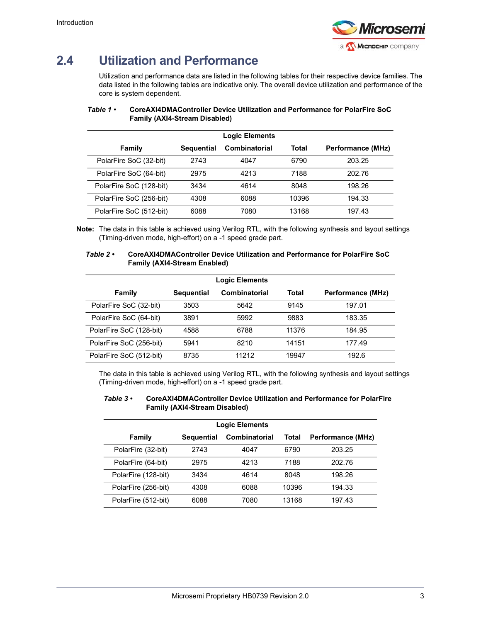

# <span id="page-8-0"></span>**2.4 Utilization and Performance**

<span id="page-8-4"></span>Utilization and performance data are listed in the following tables for their respective device families. The data listed in the following tables are indicative only. The overall device utilization and performance of the core is system dependent.

|                         |                   | <b>Logic Elements</b> |       |                          |
|-------------------------|-------------------|-----------------------|-------|--------------------------|
| Family                  | <b>Sequential</b> | Combinatorial         | Total | <b>Performance (MHz)</b> |
| PolarFire SoC (32-bit)  | 2743              | 4047                  | 6790  | 203.25                   |
| PolarFire SoC (64-bit)  | 2975              | 4213                  | 7188  | 202.76                   |
| PolarFire SoC (128-bit) | 3434              | 4614                  | 8048  | 198.26                   |
| PolarFire SoC (256-bit) | 4308              | 6088                  | 10396 | 194.33                   |
| PolarFire SoC (512-bit) | 6088              | 7080                  | 13168 | 197.43                   |

### <span id="page-8-1"></span>*Table 1 •* **CoreAXI4DMAController Device Utilization and Performance for PolarFire SoC Family (AXI4-Stream Disabled)**

**Note:** The data in this table is achieved using Verilog RTL, with the following synthesis and layout settings (Timing-driven mode, high-effort) on a -1 speed grade part.

#### <span id="page-8-2"></span>*Table 2 •* **CoreAXI4DMAController Device Utilization and Performance for PolarFire SoC Family (AXI4-Stream Enabled)**

| <b>Logic Elements</b>   |                   |               |       |                   |  |  |  |
|-------------------------|-------------------|---------------|-------|-------------------|--|--|--|
| Family                  | <b>Sequential</b> | Combinatorial | Total | Performance (MHz) |  |  |  |
| PolarFire SoC (32-bit)  | 3503              | 5642          | 9145  | 197.01            |  |  |  |
| PolarFire SoC (64-bit)  | 3891              | 5992          | 9883  | 183.35            |  |  |  |
| PolarFire SoC (128-bit) | 4588              | 6788          | 11376 | 184.95            |  |  |  |
| PolarFire SoC (256-bit) | 5941              | 8210          | 14151 | 177.49            |  |  |  |
| PolarFire SoC (512-bit) | 8735              | 11212         | 19947 | 192.6             |  |  |  |

The data in this table is achieved using Verilog RTL, with the following synthesis and layout settings (Timing-driven mode, high-effort) on a -1 speed grade part.

#### <span id="page-8-3"></span>*Table 3 •* **CoreAXI4DMAController Device Utilization and Performance for PolarFire Family (AXI4-Stream Disabled)**

| <b>Logic Elements</b> |                   |                      |       |                   |  |  |  |
|-----------------------|-------------------|----------------------|-------|-------------------|--|--|--|
| Family                | <b>Sequential</b> | <b>Combinatorial</b> | Total | Performance (MHz) |  |  |  |
| PolarFire (32-bit)    | 2743              | 4047                 | 6790  | 203.25            |  |  |  |
| PolarFire (64-bit)    | 2975              | 4213                 | 7188  | 202.76            |  |  |  |
| PolarFire (128-bit)   | 3434              | 4614                 | 8048  | 198.26            |  |  |  |
| PolarFire (256-bit)   | 4308              | 6088                 | 10396 | 194.33            |  |  |  |
| PolarFire (512-bit)   | 6088              | 7080                 | 13168 | 197.43            |  |  |  |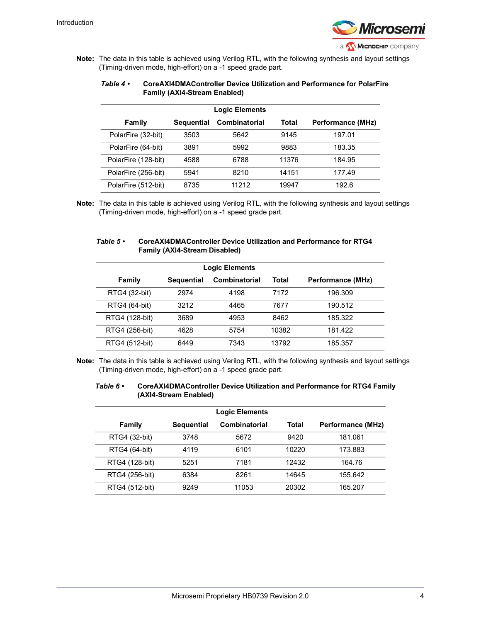

**Note:** The data in this table is achieved using Verilog RTL, with the following synthesis and layout settings (Timing-driven mode, high-effort) on a -1 speed grade part.

#### <span id="page-9-0"></span>*Table 4 •* **CoreAXI4DMAController Device Utilization and Performance for PolarFire Family (AXI4-Stream Enabled)**

| <b>Logic Elements</b> |                   |                      |       |                   |  |  |  |
|-----------------------|-------------------|----------------------|-------|-------------------|--|--|--|
| Family                | <b>Sequential</b> | <b>Combinatorial</b> | Total | Performance (MHz) |  |  |  |
| PolarFire (32-bit)    | 3503              | 5642                 | 9145  | 197.01            |  |  |  |
| PolarFire (64-bit)    | 3891              | 5992                 | 9883  | 183.35            |  |  |  |
| PolarFire (128-bit)   | 4588              | 6788                 | 11376 | 184.95            |  |  |  |
| PolarFire (256-bit)   | 5941              | 8210                 | 14151 | 177.49            |  |  |  |
| PolarFire (512-bit)   | 8735              | 11212                | 19947 | 192.6             |  |  |  |

**Note:** The data in this table is achieved using Verilog RTL, with the following synthesis and layout settings (Timing-driven mode, high-effort) on a -1 speed grade part.

#### <span id="page-9-1"></span>*Table 5 •* **CoreAXI4DMAController Device Utilization and Performance for RTG4 Family (AXI4-Stream Disabled)**

| <b>Logic Elements</b> |                   |               |       |                   |  |  |  |  |
|-----------------------|-------------------|---------------|-------|-------------------|--|--|--|--|
| Family                | <b>Sequential</b> | Combinatorial | Total | Performance (MHz) |  |  |  |  |
| RTG4 (32-bit)         | 2974              | 4198          | 7172  | 196.309           |  |  |  |  |
| RTG4 (64-bit)         | 3212              | 4465          | 7677  | 190.512           |  |  |  |  |
| RTG4 (128-bit)        | 3689              | 4953          | 8462  | 185.322           |  |  |  |  |
| RTG4 (256-bit)        | 4628              | 5754          | 10382 | 181.422           |  |  |  |  |
| RTG4 (512-bit)        | 6449              | 7343          | 13792 | 185.357           |  |  |  |  |

**Note:** The data in this table is achieved using Verilog RTL, with the following synthesis and layout settings (Timing-driven mode, high-effort) on a -1 speed grade part.

#### <span id="page-9-2"></span>*Table 6 •* **CoreAXI4DMAController Device Utilization and Performance for RTG4 Family (AXI4-Stream Enabled)**

| <b>Logic Elements</b> |                   |               |       |                          |  |  |  |  |
|-----------------------|-------------------|---------------|-------|--------------------------|--|--|--|--|
| Family                | <b>Sequential</b> | Combinatorial | Total | <b>Performance (MHz)</b> |  |  |  |  |
| RTG4 (32-bit)         | 3748              | 5672          | 9420  | 181.061                  |  |  |  |  |
| RTG4 (64-bit)         | 4119              | 6101          | 10220 | 173.883                  |  |  |  |  |
| RTG4 (128-bit)        | 5251              | 7181          | 12432 | 164.76                   |  |  |  |  |
| RTG4 (256-bit)        | 6384              | 8261          | 14645 | 155.642                  |  |  |  |  |
| RTG4 (512-bit)        | 9249              | 11053         | 20302 | 165.207                  |  |  |  |  |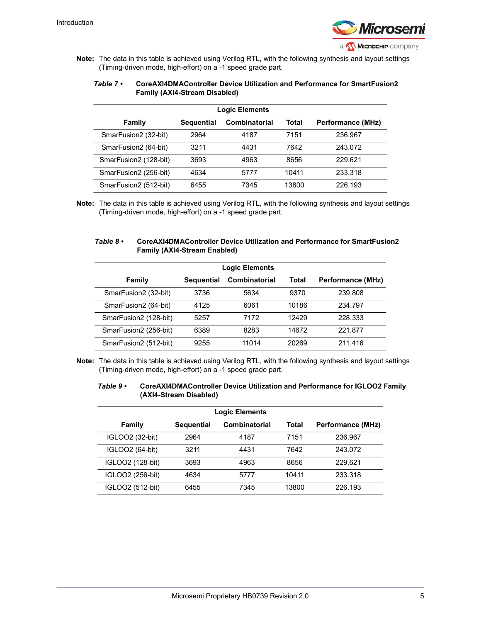

**Note:** The data in this table is achieved using Verilog RTL, with the following synthesis and layout settings (Timing-driven mode, high-effort) on a -1 speed grade part.

#### <span id="page-10-0"></span>*Table 7 •* **CoreAXI4DMAController Device Utilization and Performance for SmartFusion2 Family (AXI4-Stream Disabled)**

| <b>Logic Elements</b> |                   |               |       |                   |  |  |
|-----------------------|-------------------|---------------|-------|-------------------|--|--|
| Family                | <b>Sequential</b> | Combinatorial | Total | Performance (MHz) |  |  |
| SmarFusion2 (32-bit)  | 2964              | 4187          | 7151  | 236.967           |  |  |
| SmarFusion2 (64-bit)  | 3211              | 4431          | 7642  | 243.072           |  |  |
| SmarFusion2 (128-bit) | 3693              | 4963          | 8656  | 229.621           |  |  |
| SmarFusion2 (256-bit) | 4634              | 5777          | 10411 | 233.318           |  |  |
| SmarFusion2 (512-bit) | 6455              | 7345          | 13800 | 226.193           |  |  |

**Note:** The data in this table is achieved using Verilog RTL, with the following synthesis and layout settings (Timing-driven mode, high-effort) on a -1 speed grade part.

### <span id="page-10-1"></span>*Table 8 •* **CoreAXI4DMAController Device Utilization and Performance for SmartFusion2 Family (AXI4-Stream Enabled)**

| <b>Logic Elements</b> |                   |                      |       |                          |  |  |  |
|-----------------------|-------------------|----------------------|-------|--------------------------|--|--|--|
| Family                | <b>Sequential</b> | <b>Combinatorial</b> | Total | <b>Performance (MHz)</b> |  |  |  |
| SmarFusion2 (32-bit)  | 3736              | 5634                 | 9370  | 239.808                  |  |  |  |
| SmarFusion2 (64-bit)  | 4125              | 6061                 | 10186 | 234.797                  |  |  |  |
| SmarFusion2 (128-bit) | 5257              | 7172                 | 12429 | 228.333                  |  |  |  |
| SmarFusion2 (256-bit) | 6389              | 8283                 | 14672 | 221.877                  |  |  |  |
| SmarFusion2 (512-bit) | 9255              | 11014                | 20269 | 211.416                  |  |  |  |

**Note:** The data in this table is achieved using Verilog RTL, with the following synthesis and layout settings (Timing-driven mode, high-effort) on a -1 speed grade part.

#### <span id="page-10-2"></span>*Table 9 •* **CoreAXI4DMAController Device Utilization and Performance for IGLOO2 Family (AXI4-Stream Disabled)**

| <b>Logic Elements</b> |                   |               |       |                          |  |  |  |  |
|-----------------------|-------------------|---------------|-------|--------------------------|--|--|--|--|
| Family                | <b>Sequential</b> | Combinatorial | Total | <b>Performance (MHz)</b> |  |  |  |  |
| IGLOO2 (32-bit)       | 2964              | 4187          | 7151  | 236.967                  |  |  |  |  |
| IGLOO2 (64-bit)       | 3211              | 4431          | 7642  | 243.072                  |  |  |  |  |
| IGLOO2 (128-bit)      | 3693              | 4963          | 8656  | 229.621                  |  |  |  |  |
| IGLOO2 (256-bit)      | 4634              | 5777          | 10411 | 233.318                  |  |  |  |  |
| IGLOO2 (512-bit)      | 6455              | 7345          | 13800 | 226.193                  |  |  |  |  |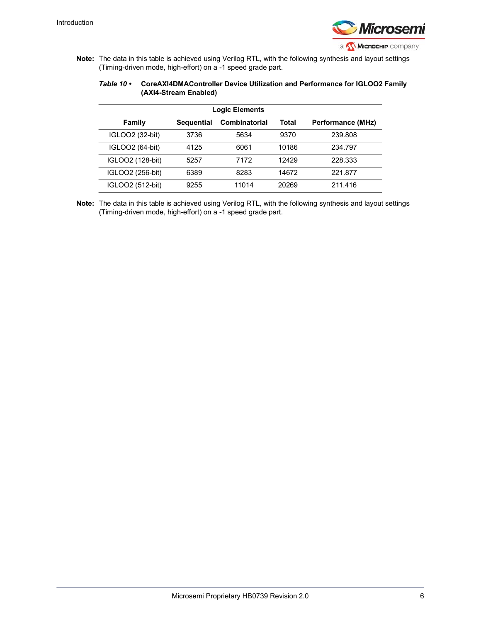

**Note:** The data in this table is achieved using Verilog RTL, with the following synthesis and layout settings (Timing-driven mode, high-effort) on a -1 speed grade part.

#### <span id="page-11-0"></span>*Table 10 •* **CoreAXI4DMAController Device Utilization and Performance for IGLOO2 Family (AXI4-Stream Enabled)**

| <b>Logic Elements</b> |                   |                      |       |                   |  |  |  |  |  |
|-----------------------|-------------------|----------------------|-------|-------------------|--|--|--|--|--|
| Family                | <b>Sequential</b> | <b>Combinatorial</b> | Total | Performance (MHz) |  |  |  |  |  |
| IGLOO2 (32-bit)       | 3736              | 5634                 | 9370  | 239.808           |  |  |  |  |  |
| IGLOO2 (64-bit)       | 4125              | 6061                 | 10186 | 234.797           |  |  |  |  |  |
| IGLOO2 (128-bit)      | 5257              | 7172                 | 12429 | 228.333           |  |  |  |  |  |
| IGLOO2 (256-bit)      | 6389              | 8283                 | 14672 | 221.877           |  |  |  |  |  |
| IGLOO2 (512-bit)      | 9255              | 11014                | 20269 | 211.416           |  |  |  |  |  |

**Note:** The data in this table is achieved using Verilog RTL, with the following synthesis and layout settings (Timing-driven mode, high-effort) on a -1 speed grade part.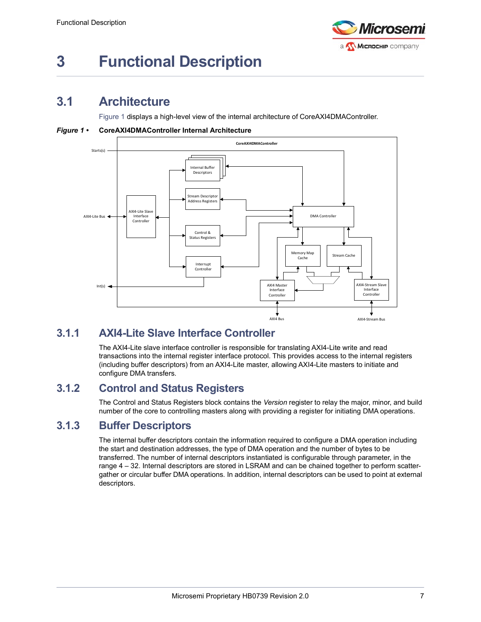

# <span id="page-12-0"></span>**3 Functional Description**

### <span id="page-12-1"></span>**3.1 Architecture**

[Figure](#page-12-5) 1 displays a high-level view of the internal architecture of CoreAXI4DMAController.

<span id="page-12-5"></span>*Figure 1 •* **CoreAXI4DMAController Internal Architecture**



### <span id="page-12-2"></span>**3.1.1 AXI4-Lite Slave Interface Controller**

The AXI4-Lite slave interface controller is responsible for translating AXI4-Lite write and read transactions into the internal register interface protocol. This provides access to the internal registers (including buffer descriptors) from an AXI4-Lite master, allowing AXI4-Lite masters to initiate and configure DMA transfers.

### <span id="page-12-3"></span>**3.1.2 Control and Status Registers**

The Control and Status Registers block contains the *Version* register to relay the major, minor, and build number of the core to controlling masters along with providing a register for initiating DMA operations.

### <span id="page-12-4"></span>**3.1.3 Buffer Descriptors**

The internal buffer descriptors contain the information required to configure a DMA operation including the start and destination addresses, the type of DMA operation and the number of bytes to be transferred. The number of internal descriptors instantiated is configurable through parameter, in the range 4 – 32. Internal descriptors are stored in LSRAM and can be chained together to perform scattergather or circular buffer DMA operations. In addition, internal descriptors can be used to point at external descriptors.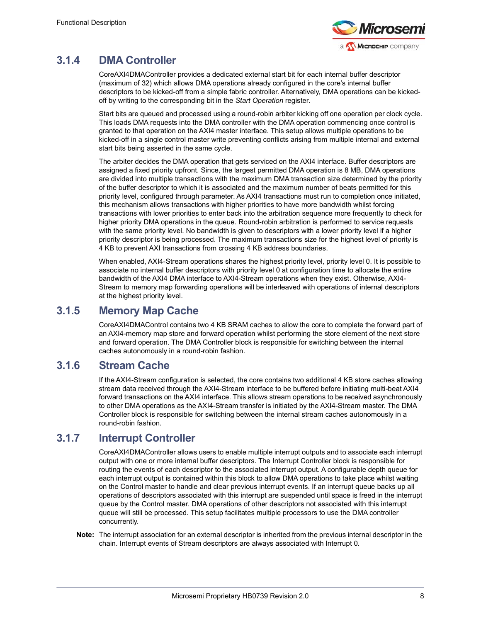

### <span id="page-13-0"></span>**3.1.4 DMA Controller**

CoreAXI4DMAController provides a dedicated external start bit for each internal buffer descriptor (maximum of 32) which allows DMA operations already configured in the core's internal buffer descriptors to be kicked-off from a simple fabric controller. Alternatively, DMA operations can be kickedoff by writing to the corresponding bit in the *Start Operation* register.

Start bits are queued and processed using a round-robin arbiter kicking off one operation per clock cycle. This loads DMA requests into the DMA controller with the DMA operation commencing once control is granted to that operation on the AXI4 master interface. This setup allows multiple operations to be kicked-off in a single control master write preventing conflicts arising from multiple internal and external start bits being asserted in the same cycle.

The arbiter decides the DMA operation that gets serviced on the AXI4 interface. Buffer descriptors are assigned a fixed priority upfront. Since, the largest permitted DMA operation is 8 MB, DMA operations are divided into multiple transactions with the maximum DMA transaction size determined by the priority of the buffer descriptor to which it is associated and the maximum number of beats permitted for this priority level, configured through parameter. As AXI4 transactions must run to completion once initiated, this mechanism allows transactions with higher priorities to have more bandwidth whilst forcing transactions with lower priorities to enter back into the arbitration sequence more frequently to check for higher priority DMA operations in the queue. Round-robin arbitration is performed to service requests with the same priority level. No bandwidth is given to descriptors with a lower priority level if a higher priority descriptor is being processed. The maximum transactions size for the highest level of priority is 4 KB to prevent AXI transactions from crossing 4 KB address boundaries.

When enabled, AXI4-Stream operations shares the highest priority level, priority level 0. It is possible to associate no internal buffer descriptors with priority level 0 at configuration time to allocate the entire bandwidth of the AXI4 DMA interface to AXI4-Stream operations when they exist. Otherwise, AXI4- Stream to memory map forwarding operations will be interleaved with operations of internal descriptors at the highest priority level.

### <span id="page-13-1"></span>**3.1.5 Memory Map Cache**

CoreAXI4DMAControl contains two 4 KB SRAM caches to allow the core to complete the forward part of an AXI4-memory map store and forward operation whilst performing the store element of the next store and forward operation. The DMA Controller block is responsible for switching between the internal caches autonomously in a round-robin fashion.

### <span id="page-13-2"></span>**3.1.6 Stream Cache**

If the AXI4-Stream configuration is selected, the core contains two additional 4 KB store caches allowing stream data received through the AXI4-Stream interface to be buffered before initiating multi-beat AXI4 forward transactions on the AXI4 interface. This allows stream operations to be received asynchronously to other DMA operations as the AXI4-Stream transfer is initiated by the AXI4-Stream master. The DMA Controller block is responsible for switching between the internal stream caches autonomously in a round-robin fashion.

### <span id="page-13-3"></span>**3.1.7 Interrupt Controller**

CoreAXI4DMAController allows users to enable multiple interrupt outputs and to associate each interrupt output with one or more internal buffer descriptors. The Interrupt Controller block is responsible for routing the events of each descriptor to the associated interrupt output. A configurable depth queue for each interrupt output is contained within this block to allow DMA operations to take place whilst waiting on the Control master to handle and clear previous interrupt events. If an interrupt queue backs up all operations of descriptors associated with this interrupt are suspended until space is freed in the interrupt queue by the Control master. DMA operations of other descriptors not associated with this interrupt queue will still be processed. This setup facilitates multiple processors to use the DMA controller concurrently.

**Note:** The interrupt association for an external descriptor is inherited from the previous internal descriptor in the chain. Interrupt events of Stream descriptors are always associated with Interrupt 0.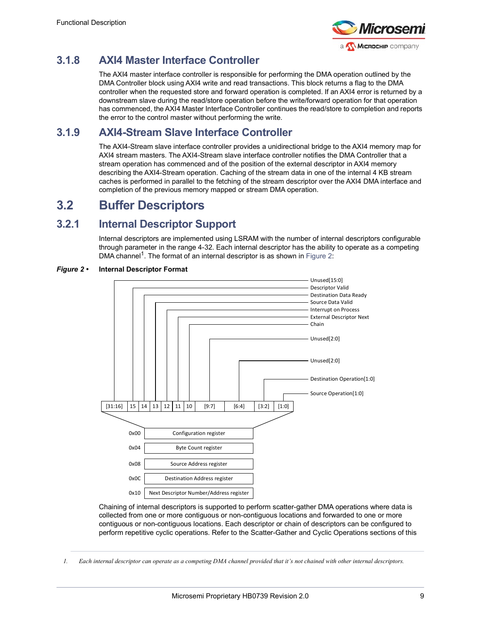

### <span id="page-14-0"></span>**3.1.8 AXI4 Master Interface Controller**

The AXI4 master interface controller is responsible for performing the DMA operation outlined by the DMA Controller block using AXI4 write and read transactions. This block returns a flag to the DMA controller when the requested store and forward operation is completed. If an AXI4 error is returned by a downstream slave during the read/store operation before the write/forward operation for that operation has commenced, the AXI4 Master Interface Controller continues the read/store to completion and reports the error to the control master without performing the write.

### <span id="page-14-1"></span>**3.1.9 AXI4-Stream Slave Interface Controller**

The AXI4-Stream slave interface controller provides a unidirectional bridge to the AXI4 memory map for AXI4 stream masters. The AXI4-Stream slave interface controller notifies the DMA Controller that a stream operation has commenced and of the position of the external descriptor in AXI4 memory describing the AXI4-Stream operation. Caching of the stream data in one of the internal 4 KB stream caches is performed in parallel to the fetching of the stream descriptor over the AXI4 DMA interface and completion of the previous memory mapped or stream DMA operation.

### <span id="page-14-2"></span>**3.2 Buffer Descriptors**

### <span id="page-14-3"></span>**3.2.1 Internal Descriptor Support**

Internal descriptors are implemented using LSRAM with the number of internal descriptors configurable through parameter in the range 4-32. Each internal descriptor has the ability to operate as a competing DMA channel<sup>1</sup>. The format of an internal descriptor is as shown in [Figure](#page-14-4) 2:



### <span id="page-14-4"></span>*Figure 2 •* **Internal Descriptor Format**

Chaining of internal descriptors is supported to perform scatter-gather DMA operations where data is collected from one or more contiguous or non-contiguous locations and forwarded to one or more contiguous or non-contiguous locations. Each descriptor or chain of descriptors can be configured to perform repetitive cyclic operations. Refer to the Scatter-Gather and Cyclic Operations sections of this

*1. Each internal descriptor can operate as a competing DMA channel provided that it's not chained with other internal descriptors.*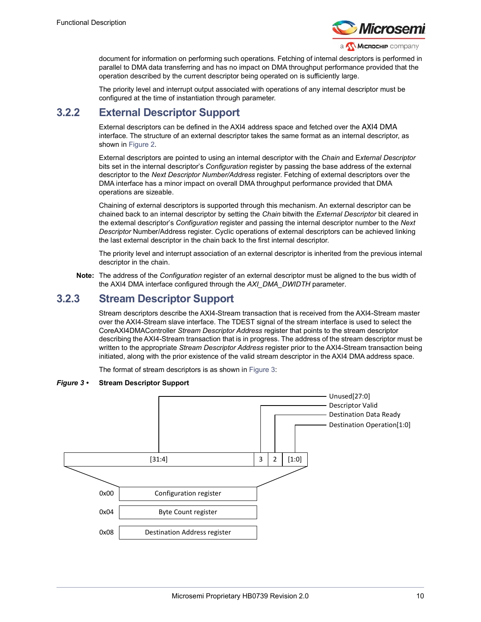

document for information on performing such operations. Fetching of internal descriptors is performed in parallel to DMA data transferring and has no impact on DMA throughput performance provided that the operation described by the current descriptor being operated on is sufficiently large.

The priority level and interrupt output associated with operations of any internal descriptor must be configured at the time of instantiation through parameter.

### <span id="page-15-0"></span>**3.2.2 External Descriptor Support**

External descriptors can be defined in the AXI4 address space and fetched over the AXI4 DMA interface. The structure of an external descriptor takes the same format as an internal descriptor, as shown in [Figure](#page-14-4) 2.

External descriptors are pointed to using an internal descriptor with the *Chain* and E*xternal Descriptor* bits set in the internal descriptor's *Configuration* register by passing the base address of the external descriptor to the *Next Descriptor Number/Address* register. Fetching of external descriptors over the DMA interface has a minor impact on overall DMA throughput performance provided that DMA operations are sizeable.

Chaining of external descriptors is supported through this mechanism. An external descriptor can be chained back to an internal descriptor by setting the *Chain* bitwith the *External Descriptor* bit cleared in the external descriptor's *Configuration* register and passing the internal descriptor number to the *Next Descriptor* Number/Address register. Cyclic operations of external descriptors can be achieved linking the last external descriptor in the chain back to the first internal descriptor.

The priority level and interrupt association of an external descriptor is inherited from the previous internal descriptor in the chain.

**Note:** The address of the *Configuration* register of an external descriptor must be aligned to the bus width of the AXI4 DMA interface configured through the *AXI\_DMA\_DWIDTH* parameter.

### <span id="page-15-1"></span>**3.2.3 Stream Descriptor Support**

Stream descriptors describe the AXI4-Stream transaction that is received from the AXI4-Stream master over the AXI4-Stream slave interface. The TDEST signal of the stream interface is used to select the CoreAXI4DMAController *Stream Descriptor Address* register that points to the stream descriptor describing the AXI4-Stream transaction that is in progress. The address of the stream descriptor must be written to the appropriate *Stream Descriptor Address* register prior to the AXI4-Stream transaction being initiated, along with the prior existence of the valid stream descriptor in the AXI4 DMA address space.

The format of stream descriptors is as shown in [Figure](#page-15-2) 3:

### <span id="page-15-2"></span>*Figure 3 •* **Stream Descriptor Support**

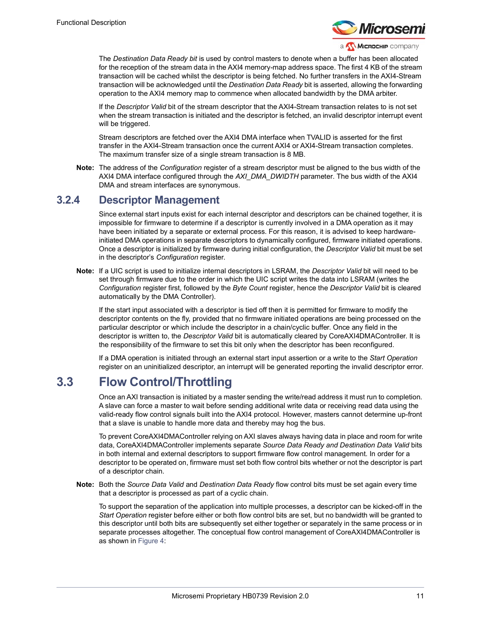

The *Destination Data Ready bit* is used by control masters to denote when a buffer has been allocated for the reception of the stream data in the AXI4 memory-map address space. The first 4 KB of the stream transaction will be cached whilst the descriptor is being fetched. No further transfers in the AXI4-Stream transaction will be acknowledged until the *Destination Data Ready* bit is asserted, allowing the forwarding operation to the AXI4 memory map to commence when allocated bandwidth by the DMA arbiter.

If the *Descriptor Valid* bit of the stream descriptor that the AXI4-Stream transaction relates to is not set when the stream transaction is initiated and the descriptor is fetched, an invalid descriptor interrupt event will be triggered.

Stream descriptors are fetched over the AXI4 DMA interface when TVALID is asserted for the first transfer in the AXI4-Stream transaction once the current AXI4 or AXI4-Stream transaction completes. The maximum transfer size of a single stream transaction is 8 MB.

**Note:** The address of the *Configuration* register of a stream descriptor must be aligned to the bus width of the AXI4 DMA interface configured through the *AXI\_DMA\_DWIDTH* parameter. The bus width of the AXI4 DMA and stream interfaces are synonymous.

### <span id="page-16-0"></span>**3.2.4 Descriptor Management**

Since external start inputs exist for each internal descriptor and descriptors can be chained together, it is impossible for firmware to determine if a descriptor is currently involved in a DMA operation as it may have been initiated by a separate or external process. For this reason, it is advised to keep hardwareinitiated DMA operations in separate descriptors to dynamically configured, firmware initiated operations. Once a descriptor is initialized by firmware during initial configuration, the *Descriptor Valid* bit must be set in the descriptor's *Configuration* register.

**Note:** If a UIC script is used to initialize internal descriptors in LSRAM, the *Descriptor Valid* bit will need to be set through firmware due to the order in which the UIC script writes the data into LSRAM (writes the *Configuration* register first, followed by the *Byte Count* register, hence the *Descriptor Valid* bit is cleared automatically by the DMA Controller).

If the start input associated with a descriptor is tied off then it is permitted for firmware to modify the descriptor contents on the fly, provided that no firmware initiated operations are being processed on the particular descriptor or which include the descriptor in a chain/cyclic buffer. Once any field in the descriptor is written to, the *Descriptor Valid* bit is automatically cleared by CoreAXI4DMAController. It is the responsibility of the firmware to set this bit only when the descriptor has been reconfigured.

If a DMA operation is initiated through an external start input assertion or a write to the *Start Operation* register on an uninitialized descriptor, an interrupt will be generated reporting the invalid descriptor error.

### <span id="page-16-1"></span>**3.3 Flow Control/Throttling**

Once an AXI transaction is initiated by a master sending the write/read address it must run to completion. A slave can force a master to wait before sending additional write data or receiving read data using the valid-ready flow control signals built into the AXI4 protocol. However, masters cannot determine up-front that a slave is unable to handle more data and thereby may hog the bus.

To prevent CoreAXI4DMAController relying on AXI slaves always having data in place and room for write data, CoreAXI4DMAController implements separate *Source Data Ready and Destination Data Valid* bits in both internal and external descriptors to support firmware flow control management. In order for a descriptor to be operated on, firmware must set both flow control bits whether or not the descriptor is part of a descriptor chain.

**Note:** Both the *Source Data Valid* and *Destination Data Ready* flow control bits must be set again every time that a descriptor is processed as part of a cyclic chain.

To support the separation of the application into multiple processes, a descriptor can be kicked-off in the *Start Operation* register before either or both flow control bits are set, but no bandwidth will be granted to this descriptor until both bits are subsequently set either together or separately in the same process or in separate processes altogether. The conceptual flow control management of CoreAXI4DMAController is as shown in [Figure](#page-17-2) 4: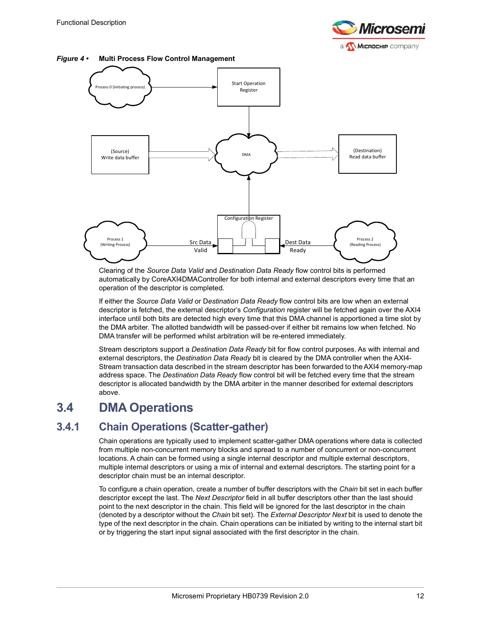

<span id="page-17-2"></span>



Clearing of the *Source Data Valid* and *Destination Data Ready* flow control bits is performed automatically by CoreAXI4DMAController for both internal and external descriptors every time that an operation of the descriptor is completed.

If either the *Source Data Valid* or D*estination Data Ready* flow control bits are low when an external descriptor is fetched, the external descriptor's *Configuration* register will be fetched again over the AXI4 interface until both bits are detected high every time that this DMA channel is apportioned a time slot by the DMA arbiter. The allotted bandwidth will be passed-over if either bit remains low when fetched. No DMA transfer will be performed whilst arbitration will be re-entered immediately.

Stream descriptors support a *Destination Data Ready* bit for flow control purposes. As with internal and external descriptors, the *Destination Data Ready* bit is cleared by the DMA controller when the AXI4- Stream transaction data described in the stream descriptor has been forwarded to the AXI4 memory-map address space. The *Destination Data Ready* flow control bit will be fetched every time that the stream descriptor is allocated bandwidth by the DMA arbiter in the manner described for external descriptors above.

## <span id="page-17-0"></span>**3.4 DMA Operations**

### <span id="page-17-1"></span>**3.4.1 Chain Operations (Scatter-gather)**

Chain operations are typically used to implement scatter-gather DMA operations where data is collected from multiple non-concurrent memory blocks and spread to a number of concurrent or non-concurrent locations. A chain can be formed using a single internal descriptor and multiple external descriptors, multiple internal descriptors or using a mix of internal and external descriptors. The starting point for a descriptor chain must be an internal descriptor.

To configure a chain operation, create a number of buffer descriptors with the *Chain* bit set in each buffer descriptor except the last. The *Next Descriptor* field in all buffer descriptors other than the last should point to the next descriptor in the chain. This field will be ignored for the last descriptor in the chain (denoted by a descriptor without the *Chain* bit set). The *External Descriptor Next* bit is used to denote the type of the next descriptor in the chain. Chain operations can be initiated by writing to the internal start bit or by triggering the start input signal associated with the first descriptor in the chain.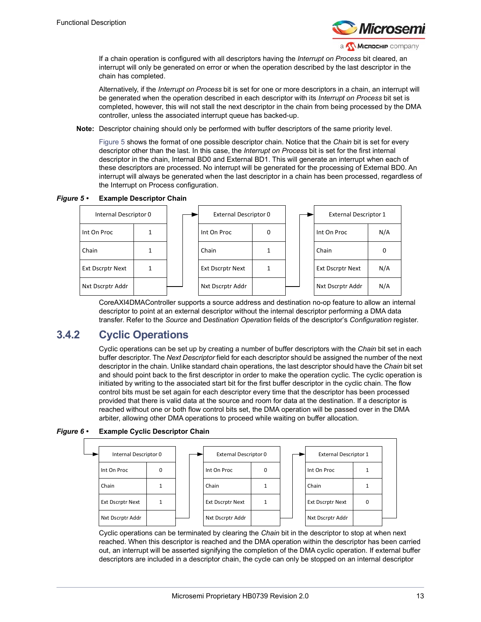

If a chain operation is configured with all descriptors having the *Interrupt on Process* bit cleared, an interrupt will only be generated on error or when the operation described by the last descriptor in the chain has completed.

Alternatively, if the *Interrupt on Process* bit is set for one or more descriptors in a chain, an interrupt will be generated when the operation described in each descriptor with its *Interrupt on Process* bit set is completed, however, this will not stall the next descriptor in the chain from being processed by the DMA controller, unless the associated interrupt queue has backed-up.

**Note:** Descriptor chaining should only be performed with buffer descriptors of the same priority level.

[Figure](#page-18-1) 5 shows the format of one possible descriptor chain. Notice that the *Chain* bit is set for every descriptor other than the last. In this case, the *Interrupt on Process* bit is set for the first internal descriptor in the chain, Internal BD0 and External BD1. This will generate an interrupt when each of these descriptors are processed. No interrupt will be generated for the processing of External BD0. An interrupt will always be generated when the last descriptor in a chain has been processed, regardless of the Interrupt on Process configuration.

<span id="page-18-1"></span>*Figure 5 •* **Example Descriptor Chain**



CoreAXI4DMAController supports a source address and destination no-op feature to allow an internal descriptor to point at an external descriptor without the internal descriptor performing a DMA data transfer. Refer to the *Source* and D*estination Operation* fields of the descriptor's *Configuration* register.

### <span id="page-18-0"></span>**3.4.2 Cyclic Operations**

Cyclic operations can be set up by creating a number of buffer descriptors with the *Chain* bit set in each buffer descriptor. The *Next Descriptor* field for each descriptor should be assigned the number of the next descriptor in the chain. Unlike standard chain operations, the last descriptor should have the *Chain* bit set and should point back to the first descriptor in order to make the operation cyclic. The cyclic operation is initiated by writing to the associated start bit for the first buffer descriptor in the cyclic chain. The flow control bits must be set again for each descriptor every time that the descriptor has been processed provided that there is valid data at the source and room for data at the destination. If a descriptor is reached without one or both flow control bits set, the DMA operation will be passed over in the DMA arbiter, allowing other DMA operations to proceed while waiting on buffer allocation.

<span id="page-18-2"></span>*Figure 6 •* **Example Cyclic Descriptor Chain**



Cyclic operations can be terminated by clearing the *Chain* bit in the descriptor to stop at when next reached. When this descriptor is reached and the DMA operation within the descriptor has been carried out, an interrupt will be asserted signifying the completion of the DMA cyclic operation. If external buffer descriptors are included in a descriptor chain, the cycle can only be stopped on an internal descriptor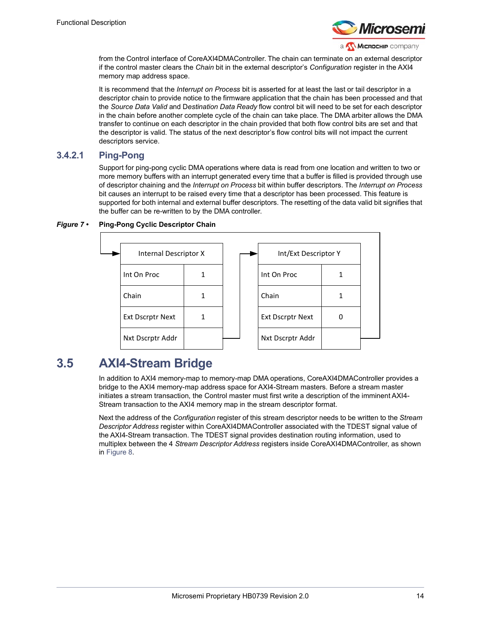

from the Control interface of CoreAXI4DMAController. The chain can terminate on an external descriptor if the control master clears the *Chain* bit in the external descriptor's *Configuration* register in the AXI4 memory map address space.

It is recommend that the *Interrupt on Process* bit is asserted for at least the last or tail descriptor in a descriptor chain to provide notice to the firmware application that the chain has been processed and that the *Source Data Valid* and D*estination Data Ready* flow control bit will need to be set for each descriptor in the chain before another complete cycle of the chain can take place. The DMA arbiter allows the DMA transfer to continue on each descriptor in the chain provided that both flow control bits are set and that the descriptor is valid. The status of the next descriptor's flow control bits will not impact the current descriptors service.

### **3.4.2.1 Ping-Pong**

Support for ping-pong cyclic DMA operations where data is read from one location and written to two or more memory buffers with an interrupt generated every time that a buffer is filled is provided through use of descriptor chaining and the *Interrupt on Process* bit within buffer descriptors. The *Interrupt on Process* bit causes an interrupt to be raised every time that a descriptor has been processed. This feature is supported for both internal and external buffer descriptors. The resetting of the data valid bit signifies that the buffer can be re-written to by the DMA controller.

### <span id="page-19-1"></span>*Figure 7 •* **Ping-Pong Cyclic Descriptor Chain**

<span id="page-19-2"></span>

| Int/Ext Descriptor Y    |  |  |  |  |  |
|-------------------------|--|--|--|--|--|
| Int On Proc             |  |  |  |  |  |
| Chain                   |  |  |  |  |  |
| <b>Ext Dscrptr Next</b> |  |  |  |  |  |
| Nxt Dscrptr Addr        |  |  |  |  |  |

### <span id="page-19-0"></span>**3.5 AXI4-Stream Bridge**

In addition to AXI4 memory-map to memory-map DMA operations, CoreAXI4DMAController provides a bridge to the AXI4 memory-map address space for AXI4-Stream masters. Before a stream master initiates a stream transaction, the Control master must first write a description of the imminent AXI4- Stream transaction to the AXI4 memory map in the stream descriptor format.

Next the address of the *Configuration* register of this stream descriptor needs to be written to the *Stream Descriptor Address* register within CoreAXI4DMAController associated with the TDEST signal value of the AXI4-Stream transaction. The TDEST signal provides destination routing information, used to multiplex between the 4 *Stream Descriptor Address* registers inside CoreAXI4DMAController, as shown in [Figure](#page-20-0) 8.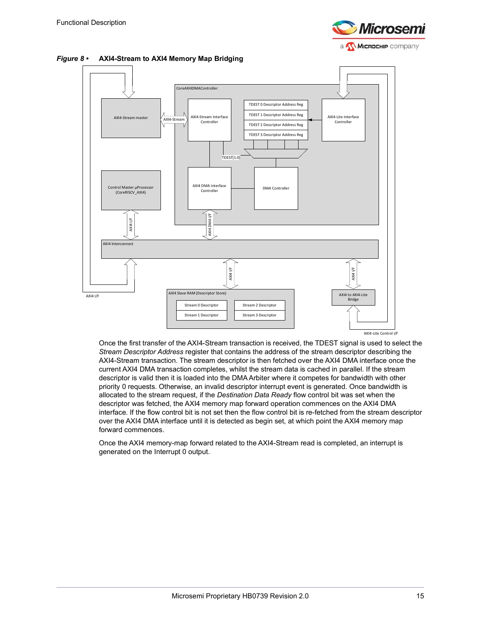

<span id="page-20-0"></span>*Figure 8 •* **AXI4-Stream to AXI4 Memory Map Bridging**



Once the first transfer of the AXI4-Stream transaction is received, the TDEST signal is used to select the *Stream Descriptor Address* register that contains the address of the stream descriptor describing the AXI4-Stream transaction. The stream descriptor is then fetched over the AXI4 DMA interface once the current AXI4 DMA transaction completes, whilst the stream data is cached in parallel. If the stream descriptor is valid then it is loaded into the DMA Arbiter where it competes for bandwidth with other priority 0 requests. Otherwise, an invalid descriptor interrupt event is generated. Once bandwidth is allocated to the stream request, if the *Destination Data Ready* flow control bit was set when the descriptor was fetched, the AXI4 memory map forward operation commences on the AXI4 DMA interface. If the flow control bit is not set then the flow control bit is re-fetched from the stream descriptor over the AXI4 DMA interface until it is detected as begin set, at which point the AXI4 memory map forward commences.

Once the AXI4 memory-map forward related to the AXI4-Stream read is completed, an interrupt is generated on the Interrupt 0 output.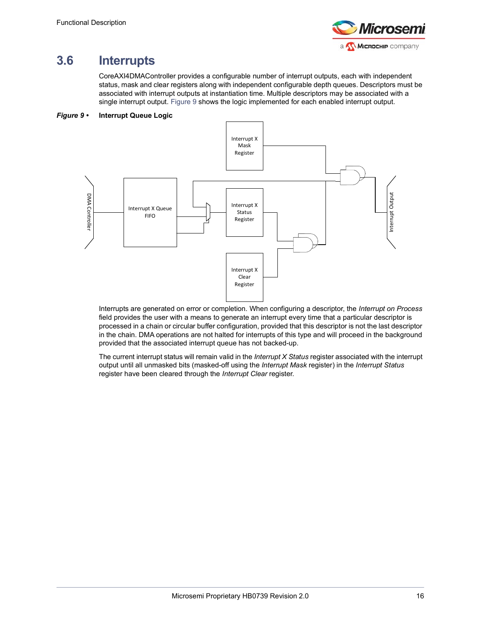

# <span id="page-21-0"></span>**3.6 Interrupts**

CoreAXI4DMAController provides a configurable number of interrupt outputs, each with independent status, mask and clear registers along with independent configurable depth queues. Descriptors must be associated with interrupt outputs at instantiation time. Multiple descriptors may be associated with a single interrupt output. [Figure](#page-21-1) 9 shows the logic implemented for each enabled interrupt output.

### <span id="page-21-1"></span>*Figure 9 •* **Interrupt Queue Logic**



Interrupts are generated on error or completion. When configuring a descriptor, the *Interrupt on Process* field provides the user with a means to generate an interrupt every time that a particular descriptor is processed in a chain or circular buffer configuration, provided that this descriptor is not the last descriptor in the chain. DMA operations are not halted for interrupts of this type and will proceed in the background provided that the associated interrupt queue has not backed-up.

The current interrupt status will remain valid in the *Interrupt X Status* register associated with the interrupt output until all unmasked bits (masked-off using the *Interrupt Mask* register) in the *Interrupt Status* register have been cleared through the *Interrupt Clear* register.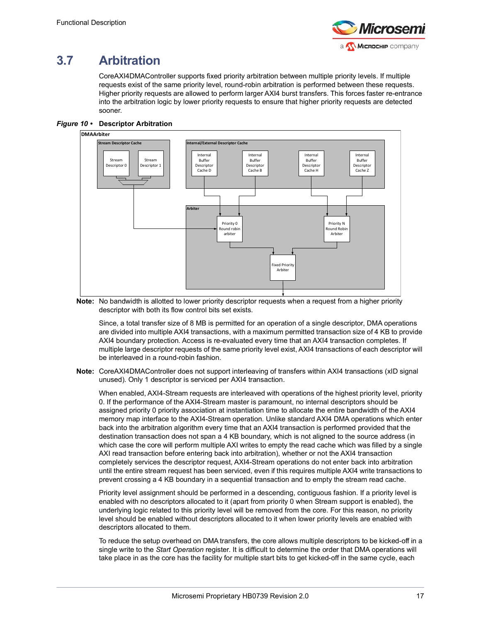

# <span id="page-22-0"></span>**3.7 Arbitration**

CoreAXI4DMAController supports fixed priority arbitration between multiple priority levels. If multiple requests exist of the same priority level, round-robin arbitration is performed between these requests. Higher priority requests are allowed to perform larger AXI4 burst transfers. This forces faster re-entrance into the arbitration logic by lower priority requests to ensure that higher priority requests are detected sooner.

<span id="page-22-1"></span>



**Note:** No bandwidth is allotted to lower priority descriptor requests when a request from a higher priority descriptor with both its flow control bits set exists.

Since, a total transfer size of 8 MB is permitted for an operation of a single descriptor, DMA operations are divided into multiple AXI4 transactions, with a maximum permitted transaction size of 4 KB to provide AXI4 boundary protection. Access is re-evaluated every time that an AXI4 transaction completes. If multiple large descriptor requests of the same priority level exist, AXI4 transactions of each descriptor will be interleaved in a round-robin fashion.

**Note:** CoreAXI4DMAController does not support interleaving of transfers within AXI4 transactions (xID signal unused). Only 1 descriptor is serviced per AXI4 transaction.

When enabled, AXI4-Stream requests are interleaved with operations of the highest priority level, priority 0. If the performance of the AXI4-Stream master is paramount, no internal descriptors should be assigned priority 0 priority association at instantiation time to allocate the entire bandwidth of the AXI4 memory map interface to the AXI4-Stream operation. Unlike standard AXI4 DMA operations which enter back into the arbitration algorithm every time that an AXI4 transaction is performed provided that the destination transaction does not span a 4 KB boundary, which is not aligned to the source address (in which case the core will perform multiple AXI writes to empty the read cache which was filled by a single AXI read transaction before entering back into arbitration), whether or not the AXI4 transaction completely services the descriptor request, AXI4-Stream operations do not enter back into arbitration until the entire stream request has been serviced, even if this requires multiple AXI4 write transactions to prevent crossing a 4 KB boundary in a sequential transaction and to empty the stream read cache.

Priority level assignment should be performed in a descending, contiguous fashion. If a priority level is enabled with no descriptors allocated to it (apart from priority 0 when Stream support is enabled), the underlying logic related to this priority level will be removed from the core. For this reason, no priority level should be enabled without descriptors allocated to it when lower priority levels are enabled with descriptors allocated to them.

To reduce the setup overhead on DMA transfers, the core allows multiple descriptors to be kicked-off in a single write to the *Start Operation* register. It is difficult to determine the order that DMA operations will take place in as the core has the facility for multiple start bits to get kicked-off in the same cycle, each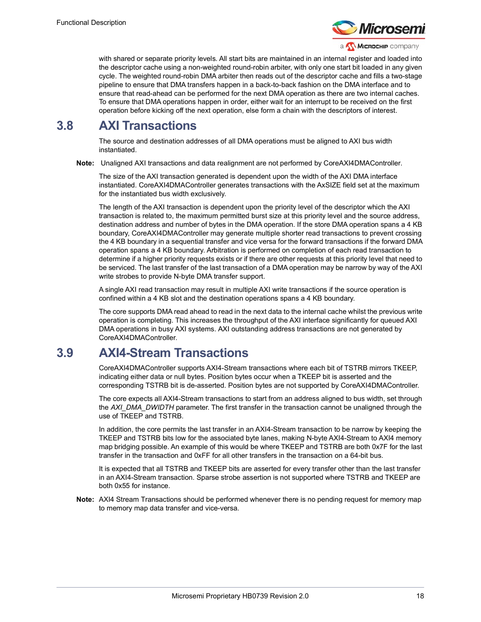

with shared or separate priority levels. All start bits are maintained in an internal register and loaded into the descriptor cache using a non-weighted round-robin arbiter, with only one start bit loaded in any given cycle. The weighted round-robin DMA arbiter then reads out of the descriptor cache and fills a two-stage pipeline to ensure that DMA transfers happen in a back-to-back fashion on the DMA interface and to ensure that read-ahead can be performed for the next DMA operation as there are two internal caches. To ensure that DMA operations happen in order, either wait for an interrupt to be received on the first operation before kicking off the next operation, else form a chain with the descriptors of interest.

### <span id="page-23-0"></span>**3.8 AXI Transactions**

The source and destination addresses of all DMA operations must be aligned to AXI bus width instantiated.

**Note:** Unaligned AXI transactions and data realignment are not performed by CoreAXI4DMAController.

The size of the AXI transaction generated is dependent upon the width of the AXI DMA interface instantiated. CoreAXI4DMAController generates transactions with the AxSIZE field set at the maximum for the instantiated bus width exclusively.

The length of the AXI transaction is dependent upon the priority level of the descriptor which the AXI transaction is related to, the maximum permitted burst size at this priority level and the source address, destination address and number of bytes in the DMA operation. If the store DMA operation spans a 4 KB boundary, CoreAXI4DMAController may generate multiple shorter read transactions to prevent crossing the 4 KB boundary in a sequential transfer and vice versa for the forward transactions if the forward DMA operation spans a 4 KB boundary. Arbitration is performed on completion of each read transaction to determine if a higher priority requests exists or if there are other requests at this priority level that need to be serviced. The last transfer of the last transaction of a DMA operation may be narrow by way of the AXI write strobes to provide N-byte DMA transfer support.

A single AXI read transaction may result in multiple AXI write transactions if the source operation is confined within a 4 KB slot and the destination operations spans a 4 KB boundary.

The core supports DMA read ahead to read in the next data to the internal cache whilst the previous write operation is completing. This increases the throughput of the AXI interface significantly for queued AXI DMA operations in busy AXI systems. AXI outstanding address transactions are not generated by CoreAXI4DMAController.

### <span id="page-23-1"></span>**3.9 AXI4-Stream Transactions**

CoreAXI4DMAController supports AXI4-Stream transactions where each bit of TSTRB mirrors TKEEP, indicating either data or null bytes. Position bytes occur when a TKEEP bit is asserted and the corresponding TSTRB bit is de-asserted. Position bytes are not supported by CoreAXI4DMAController.

The core expects all AXI4-Stream transactions to start from an address aligned to bus width, set through the *AXI\_DMA\_DWIDTH* parameter. The first transfer in the transaction cannot be unaligned through the use of TKEEP and TSTRB.

In addition, the core permits the last transfer in an AXI4-Stream transaction to be narrow by keeping the TKEEP and TSTRB bits low for the associated byte lanes, making N-byte AXI4-Stream to AXI4 memory map bridging possible. An example of this would be where TKEEP and TSTRB are both 0x7F for the last transfer in the transaction and 0xFF for all other transfers in the transaction on a 64-bit bus.

It is expected that all TSTRB and TKEEP bits are asserted for every transfer other than the last transfer in an AXI4-Stream transaction. Sparse strobe assertion is not supported where TSTRB and TKEEP are both 0x55 for instance.

**Note:** AXI4 Stream Transactions should be performed whenever there is no pending request for memory map to memory map data transfer and vice-versa.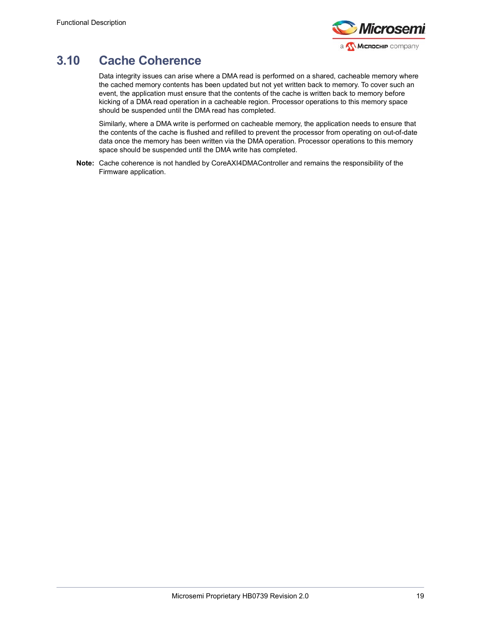

# <span id="page-24-0"></span>**3.10 Cache Coherence**

Data integrity issues can arise where a DMA read is performed on a shared, cacheable memory where the cached memory contents has been updated but not yet written back to memory. To cover such an event, the application must ensure that the contents of the cache is written back to memory before kicking of a DMA read operation in a cacheable region. Processor operations to this memory space should be suspended until the DMA read has completed.

Similarly, where a DMA write is performed on cacheable memory, the application needs to ensure that the contents of the cache is flushed and refilled to prevent the processor from operating on out-of-date data once the memory has been written via the DMA operation. Processor operations to this memory space should be suspended until the DMA write has completed.

**Note:** Cache coherence is not handled by CoreAXI4DMAController and remains the responsibility of the Firmware application.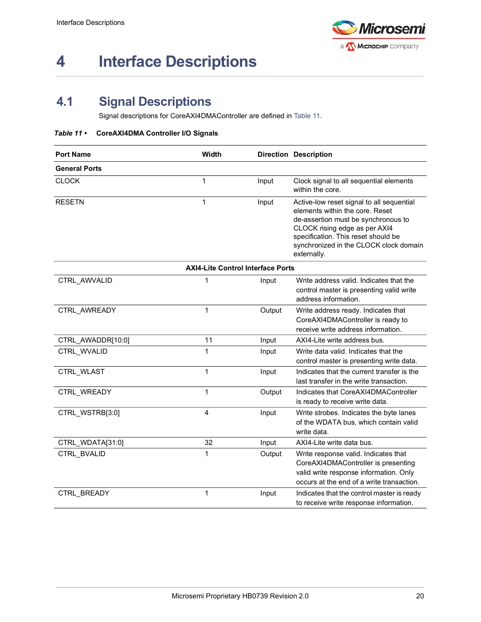

# <span id="page-25-0"></span>**4 Interface Descriptions**

## <span id="page-25-1"></span>**4.1 Signal Descriptions**

<span id="page-25-3"></span>Signal descriptions for CoreAXI4DMAController are defined in [Table](#page-25-2) 11.

#### <span id="page-25-2"></span>*Table 11 •* **CoreAXI4DMA Controller I/O Signals**

| <b>Port Name</b>     | Width                                    |        | <b>Direction Description</b>                                                                                                                                                                                                                         |
|----------------------|------------------------------------------|--------|------------------------------------------------------------------------------------------------------------------------------------------------------------------------------------------------------------------------------------------------------|
| <b>General Ports</b> |                                          |        |                                                                                                                                                                                                                                                      |
| <b>CLOCK</b>         | 1                                        | Input  | Clock signal to all sequential elements<br>within the core.                                                                                                                                                                                          |
| <b>RESETN</b>        | 1                                        | Input  | Active-low reset signal to all sequential<br>elements within the core. Reset<br>de-assertion must be synchronous to<br>CLOCK rising edge as per AXI4<br>specification. This reset should be<br>synchronized in the CLOCK clock domain<br>externally. |
|                      | <b>AXI4-Lite Control Interface Ports</b> |        |                                                                                                                                                                                                                                                      |
| CTRL AWVALID         | 1                                        | Input  | Write address valid. Indicates that the<br>control master is presenting valid write<br>address information.                                                                                                                                          |
| CTRL AWREADY         | 1                                        | Output | Write address ready. Indicates that<br>CoreAXI4DMAController is ready to<br>receive write address information.                                                                                                                                       |
| CTRL_AWADDR[10:0]    | 11                                       | Input  | AXI4-Lite write address bus.                                                                                                                                                                                                                         |
| CTRL_WVALID          | 1                                        | Input  | Write data valid. Indicates that the<br>control master is presenting write data.                                                                                                                                                                     |
| CTRL_WLAST           | 1                                        | Input  | Indicates that the current transfer is the<br>last transfer in the write transaction.                                                                                                                                                                |
| CTRL WREADY          | 1                                        | Output | Indicates that CoreAXI4DMAController<br>is ready to receive write data.                                                                                                                                                                              |
| CTRL_WSTRB[3:0]      | 4                                        | Input  | Write strobes. Indicates the byte lanes<br>of the WDATA bus, which contain valid<br>write data.                                                                                                                                                      |
| CTRL_WDATA[31:0]     | 32                                       | Input  | AXI4-Lite write data bus.                                                                                                                                                                                                                            |
| CTRL_BVALID          | 1                                        | Output | Write response valid. Indicates that<br>CoreAXI4DMAController is presenting<br>valid write response information. Only<br>occurs at the end of a write transaction.                                                                                   |
| CTRL_BREADY          | 1                                        | Input  | Indicates that the control master is ready<br>to receive write response information.                                                                                                                                                                 |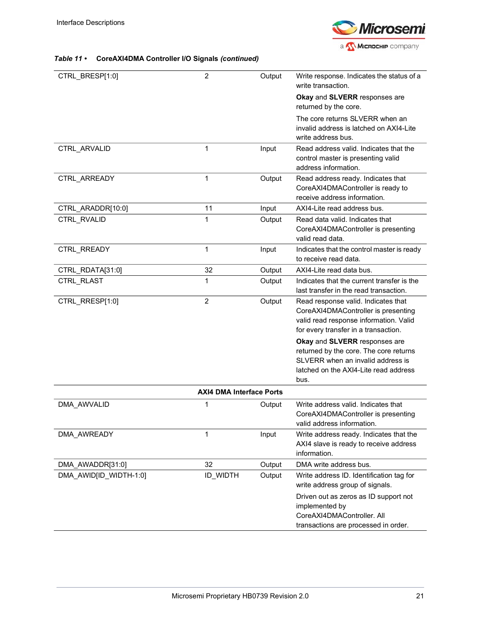

| CTRL_BRESP[1:0]        | $\overline{2}$                  | Output | Write response. Indicates the status of a<br>write transaction.                                                                                               |
|------------------------|---------------------------------|--------|---------------------------------------------------------------------------------------------------------------------------------------------------------------|
|                        |                                 |        | Okay and SLVERR responses are<br>returned by the core.                                                                                                        |
|                        |                                 |        | The core returns SLVERR when an<br>invalid address is latched on AXI4-Lite<br>write address bus.                                                              |
| CTRL_ARVALID           | 1                               | Input  | Read address valid. Indicates that the<br>control master is presenting valid<br>address information.                                                          |
| CTRL_ARREADY           | 1                               | Output | Read address ready. Indicates that<br>CoreAXI4DMAController is ready to<br>receive address information.                                                       |
| CTRL_ARADDR[10:0]      | 11                              | Input  | AXI4-Lite read address bus.                                                                                                                                   |
| CTRL_RVALID            | 1                               | Output | Read data valid. Indicates that<br>CoreAXI4DMAController is presenting<br>valid read data.                                                                    |
| CTRL_RREADY            | 1                               | Input  | Indicates that the control master is ready<br>to receive read data.                                                                                           |
| CTRL_RDATA[31:0]       | 32                              | Output | AXI4-Lite read data bus.                                                                                                                                      |
| CTRL_RLAST             | 1                               | Output | Indicates that the current transfer is the<br>last transfer in the read transaction.                                                                          |
| CTRL_RRESP[1:0]        | $\overline{2}$                  | Output | Read response valid. Indicates that<br>CoreAXI4DMAController is presenting<br>valid read response information. Valid<br>for every transfer in a transaction.  |
|                        |                                 |        | Okay and SLVERR responses are<br>returned by the core. The core returns<br>SLVERR when an invalid address is<br>latched on the AXI4-Lite read address<br>bus. |
|                        | <b>AXI4 DMA Interface Ports</b> |        |                                                                                                                                                               |
| DMA_AWVALID            | 1                               | Output | Write address valid. Indicates that<br>CoreAXI4DMAController is presenting<br>valid address information.                                                      |
| DMA AWREADY            | 1                               | Input  | Write address ready. Indicates that the<br>AXI4 slave is ready to receive address<br>information.                                                             |
| DMA_AWADDR[31:0]       | 32                              | Output | DMA write address bus.                                                                                                                                        |
| DMA_AWID[ID_WIDTH-1:0] | ID_WIDTH                        | Output | Write address ID. Identification tag for<br>write address group of signals.                                                                                   |
|                        |                                 |        | Driven out as zeros as ID support not<br>implemented by<br>CoreAXI4DMAController. All<br>transactions are processed in order.                                 |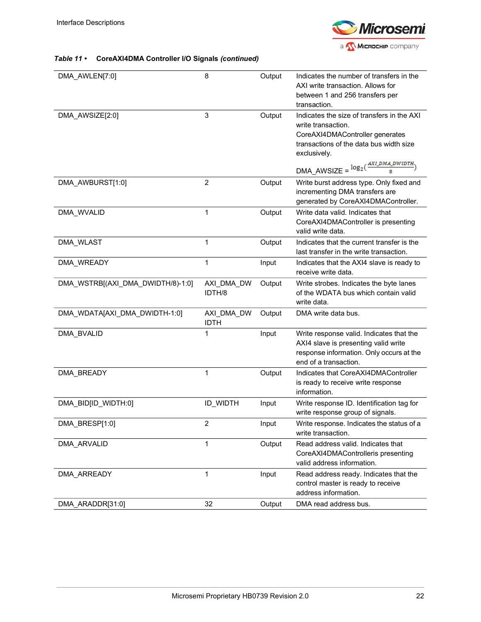

| DMA_AWLEN[7:0]                    | 8                         | Output | Indicates the number of transfers in the<br>AXI write transaction. Allows for<br>between 1 and 256 transfers per<br>transaction.                               |
|-----------------------------------|---------------------------|--------|----------------------------------------------------------------------------------------------------------------------------------------------------------------|
| DMA_AWSIZE[2:0]                   | 3                         | Output | Indicates the size of transfers in the AXI<br>write transaction.<br>CoreAXI4DMAController generates<br>transactions of the data bus width size<br>exclusively. |
|                                   |                           |        | $\text{DMA\_AWSIZE} = \frac{\log_2(\frac{AXI\_DMA\_DWIDTH}{8})}{8}$                                                                                            |
| DMA AWBURST[1:0]                  | $\overline{2}$            | Output | Write burst address type. Only fixed and<br>incrementing DMA transfers are<br>generated by CoreAXI4DMAController.                                              |
| DMA_WVALID                        | 1                         | Output | Write data valid. Indicates that<br>CoreAXI4DMAController is presenting<br>valid write data.                                                                   |
| DMA_WLAST                         | 1                         | Output | Indicates that the current transfer is the<br>last transfer in the write transaction.                                                                          |
| DMA WREADY                        | 1                         | Input  | Indicates that the AXI4 slave is ready to<br>receive write data.                                                                                               |
| DMA_WSTRB[(AXI_DMA_DWIDTH/8)-1:0] | AXI DMA DW<br>IDTH/8      | Output | Write strobes. Indicates the byte lanes<br>of the WDATA bus which contain valid<br>write data.                                                                 |
| DMA_WDATA[AXI_DMA_DWIDTH-1:0]     | AXI DMA DW<br><b>IDTH</b> | Output | DMA write data bus.                                                                                                                                            |
| DMA_BVALID                        | 1                         | Input  | Write response valid. Indicates that the<br>AXI4 slave is presenting valid write<br>response information. Only occurs at the<br>end of a transaction.          |
| DMA_BREADY                        | 1                         | Output | Indicates that CoreAXI4DMAController<br>is ready to receive write response<br>information.                                                                     |
| DMA_BID[ID_WIDTH:0]               | <b>ID WIDTH</b>           | Input  | Write response ID. Identification tag for<br>write response group of signals.                                                                                  |
| DMA_BRESP[1:0]                    | 2                         | Input  | Write response. Indicates the status of a<br>write transaction.                                                                                                |
| DMA ARVALID                       | 1                         | Output | Read address valid. Indicates that<br>CoreAXI4DMAControlleris presenting<br>valid address information.                                                         |
| DMA_ARREADY                       | 1                         | Input  | Read address ready. Indicates that the<br>control master is ready to receive<br>address information.                                                           |
| DMA_ARADDR[31:0]                  | 32                        | Output | DMA read address bus.                                                                                                                                          |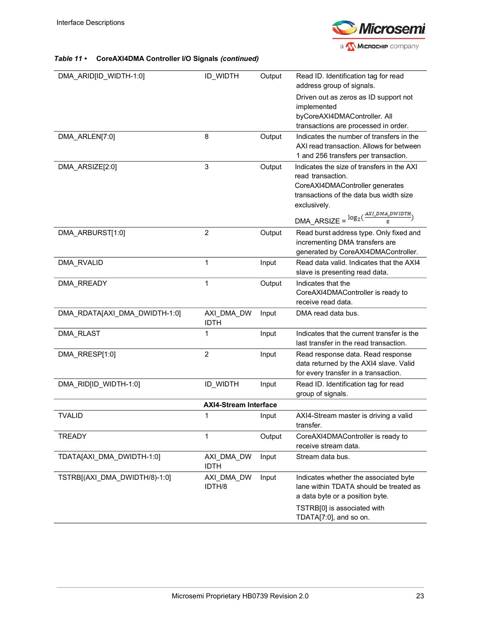

| DMA_ARID[ID_WIDTH-1:0]        | <b>ID WIDTH</b>              | Output | Read ID. Identification tag for read<br>address group of signals.                                                                                                                                                                    |
|-------------------------------|------------------------------|--------|--------------------------------------------------------------------------------------------------------------------------------------------------------------------------------------------------------------------------------------|
|                               |                              |        | Driven out as zeros as ID support not<br>implemented<br>byCoreAXI4DMAController. All<br>transactions are processed in order.                                                                                                         |
| DMA_ARLEN[7:0]                | 8                            | Output | Indicates the number of transfers in the<br>AXI read transaction. Allows for between<br>1 and 256 transfers per transaction.                                                                                                         |
| DMA_ARSIZE[2:0]               | 3                            | Output | Indicates the size of transfers in the AXI<br>read transaction.<br>CoreAXI4DMAController generates<br>transactions of the data bus width size<br>exclusively.<br>$\text{DMA\_ARSIZE} = \frac{\log_2(\frac{AXI\_DMA\_DWIDTH}{8})}{8}$ |
| DMA_ARBURST[1:0]              | $\overline{2}$               | Output | Read burst address type. Only fixed and<br>incrementing DMA transfers are<br>generated by CoreAXI4DMAController.                                                                                                                     |
| <b>DMA RVALID</b>             | 1                            | Input  | Read data valid. Indicates that the AXI4<br>slave is presenting read data.                                                                                                                                                           |
| DMA RREADY                    | 1                            | Output | Indicates that the<br>CoreAXI4DMAController is ready to<br>receive read data.                                                                                                                                                        |
| DMA RDATAJAXI DMA DWIDTH-1:0] | AXI DMA DW<br><b>IDTH</b>    | Input  | DMA read data bus.                                                                                                                                                                                                                   |
| DMA_RLAST                     | 1                            | Input  | Indicates that the current transfer is the<br>last transfer in the read transaction.                                                                                                                                                 |
| DMA_RRESP[1:0]                | 2                            | Input  | Read response data. Read response<br>data returned by the AXI4 slave. Valid<br>for every transfer in a transaction.                                                                                                                  |
| DMA_RID[ID_WIDTH-1:0]         | ID_WIDTH                     | Input  | Read ID. Identification tag for read<br>group of signals.                                                                                                                                                                            |
|                               | <b>AXI4-Stream Interface</b> |        |                                                                                                                                                                                                                                      |
| <b>TVALID</b>                 | 1                            | Input  | AXI4-Stream master is driving a valid<br>transfer.                                                                                                                                                                                   |
| <b>TREADY</b>                 | 1                            | Output | CoreAXI4DMAController is ready to<br>receive stream data.                                                                                                                                                                            |
| TDATA[AXI_DMA_DWIDTH-1:0]     | AXI_DMA_DW<br><b>IDTH</b>    | Input  | Stream data bus.                                                                                                                                                                                                                     |
| TSTRB[(AXI DMA DWIDTH/8)-1:0] | AXI_DMA_DW<br>IDTH/8         | Input  | Indicates whether the associated byte<br>lane within TDATA should be treated as<br>a data byte or a position byte.<br>TSTRB[0] is associated with<br>TDATA[7:0], and so on.                                                          |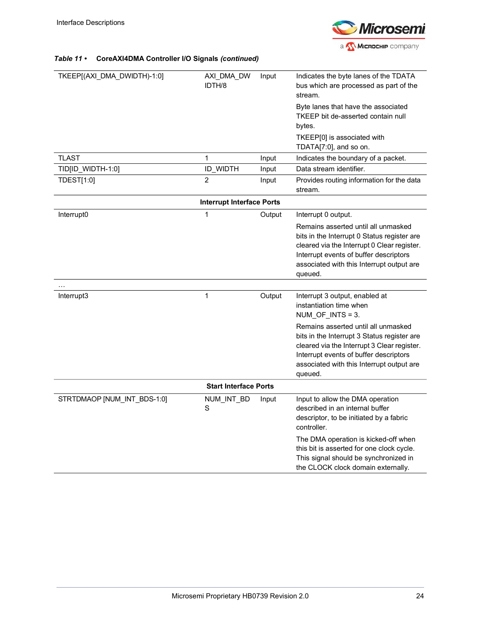

| TKEEP[(AXI_DMA_DWIDTH)-1:0] | AXI_DMA_DW                       | Input  | Indicates the byte lanes of the TDATA                                               |
|-----------------------------|----------------------------------|--------|-------------------------------------------------------------------------------------|
|                             | IDTH/8                           |        | bus which are processed as part of the                                              |
|                             |                                  |        | stream.                                                                             |
|                             |                                  |        | Byte lanes that have the associated                                                 |
|                             |                                  |        | TKEEP bit de-asserted contain null                                                  |
|                             |                                  |        | bytes.                                                                              |
|                             |                                  |        | TKEEP[0] is associated with                                                         |
|                             |                                  |        | TDATA[7:0], and so on.                                                              |
| <b>TLAST</b>                | $\mathbf{1}$                     | Input  | Indicates the boundary of a packet.                                                 |
| TID[ID_WIDTH-1:0]           | <b>ID WIDTH</b>                  | Input  | Data stream identifier.                                                             |
| <b>TDEST[1:0]</b>           | $\overline{2}$                   | Input  | Provides routing information for the data<br>stream.                                |
|                             | <b>Interrupt Interface Ports</b> |        |                                                                                     |
| Interrupt0                  | $\mathbf 1$                      | Output | Interrupt 0 output.                                                                 |
|                             |                                  |        | Remains asserted until all unmasked                                                 |
|                             |                                  |        | bits in the Interrupt 0 Status register are                                         |
|                             |                                  |        | cleared via the Interrupt 0 Clear register.                                         |
|                             |                                  |        | Interrupt events of buffer descriptors<br>associated with this Interrupt output are |
|                             |                                  |        | queued.                                                                             |
|                             |                                  |        |                                                                                     |
| Interrupt3                  | 1                                | Output | Interrupt 3 output, enabled at                                                      |
|                             |                                  |        | instantiation time when                                                             |
|                             |                                  |        | $NUM_OF_NTS = 3.$                                                                   |
|                             |                                  |        | Remains asserted until all unmasked                                                 |
|                             |                                  |        | bits in the Interrupt 3 Status register are                                         |
|                             |                                  |        | cleared via the Interrupt 3 Clear register.                                         |
|                             |                                  |        | Interrupt events of buffer descriptors<br>associated with this Interrupt output are |
|                             |                                  |        | queued.                                                                             |
|                             | <b>Start Interface Ports</b>     |        |                                                                                     |
| STRTDMAOP [NUM_INT_BDS-1:0] | NUM_INT_BD                       | Input  | Input to allow the DMA operation                                                    |
|                             | S                                |        | described in an internal buffer                                                     |
|                             |                                  |        | descriptor, to be initiated by a fabric                                             |
|                             |                                  |        | controller.                                                                         |
|                             |                                  |        | The DMA operation is kicked-off when                                                |
|                             |                                  |        | this bit is asserted for one clock cycle.                                           |
|                             |                                  |        | This signal should be synchronized in                                               |
|                             |                                  |        | the CLOCK clock domain externally.                                                  |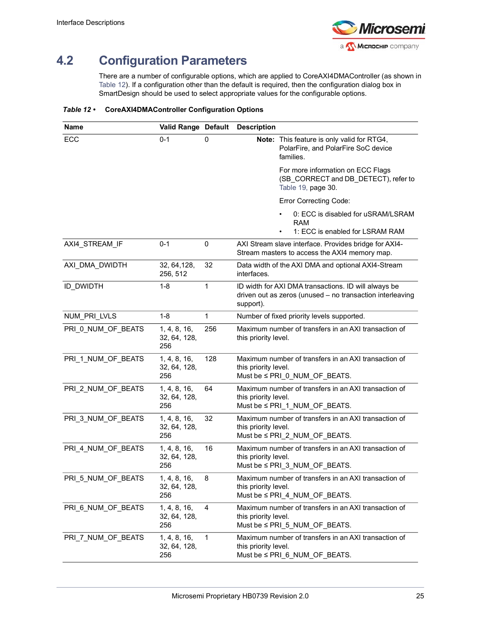

# <span id="page-30-0"></span>**4.2 Configuration Parameters**

<span id="page-30-2"></span>There are a number of configurable options, which are applied to CoreAXI4DMAController (as shown in [Table](#page-30-1) 12). If a configuration other than the default is required, then the configuration dialog box in SmartDesign should be used to select appropriate values for the configurable options.

<span id="page-30-1"></span>*Table 12 •* **CoreAXI4DMAController Configuration Options**

| Name               | Valid Range Default                 |     | <b>Description</b>   |                                                                                                                   |
|--------------------|-------------------------------------|-----|----------------------|-------------------------------------------------------------------------------------------------------------------|
| ECC                | $0 - 1$                             | 0   |                      | Note: This feature is only valid for RTG4,<br>PolarFire, and PolarFire SoC device<br>families.                    |
|                    |                                     |     |                      | For more information on ECC Flags<br>(SB_CORRECT and DB_DETECT), refer to<br>Table 19, page 30.                   |
|                    |                                     |     |                      | <b>Error Correcting Code:</b>                                                                                     |
|                    |                                     |     |                      | 0: ECC is disabled for uSRAM/LSRAM<br>RAM<br>1: ECC is enabled for LSRAM RAM                                      |
| AXI4 STREAM IF     | $0 - 1$                             | 0   |                      | AXI Stream slave interface. Provides bridge for AXI4-<br>Stream masters to access the AXI4 memory map.            |
| AXI_DMA_DWIDTH     | 32, 64, 128,<br>256, 512            | 32  | interfaces.          | Data width of the AXI DMA and optional AXI4-Stream                                                                |
| <b>ID DWIDTH</b>   | $1 - 8$                             | 1   | support).            | ID width for AXI DMA transactions. ID will always be<br>driven out as zeros (unused - no transaction interleaving |
| NUM_PRI_LVLS       | $1 - 8$                             | 1   |                      | Number of fixed priority levels supported.                                                                        |
| PRI 0 NUM OF BEATS | 1, 4, 8, 16,<br>32, 64, 128,<br>256 | 256 | this priority level. | Maximum number of transfers in an AXI transaction of                                                              |
| PRI_1_NUM_OF_BEATS | 1, 4, 8, 16,<br>32, 64, 128,<br>256 | 128 | this priority level. | Maximum number of transfers in an AXI transaction of<br>Must be ≤ PRI_0_NUM_OF_BEATS.                             |
| PRI_2_NUM_OF_BEATS | 1, 4, 8, 16,<br>32, 64, 128,<br>256 | 64  | this priority level. | Maximum number of transfers in an AXI transaction of<br>Must be ≤ PRI 1 NUM_OF_BEATS.                             |
| PRI_3_NUM_OF_BEATS | 1, 4, 8, 16,<br>32, 64, 128,<br>256 | 32  | this priority level. | Maximum number of transfers in an AXI transaction of<br>Must be ≤ PRI_2_NUM_OF_BEATS.                             |
| PRI_4_NUM_OF_BEATS | 1, 4, 8, 16,<br>32, 64, 128,<br>256 | 16  | this priority level. | Maximum number of transfers in an AXI transaction of<br>Must be ≤ PRI_3_NUM_OF_BEATS.                             |
| PRI_5_NUM_OF_BEATS | 1, 4, 8, 16,<br>32, 64, 128,<br>256 | 8   | this priority level. | Maximum number of transfers in an AXI transaction of<br>Must be ≤ PRI_4_NUM_OF_BEATS.                             |
| PRI 6_NUM_OF_BEATS | 1, 4, 8, 16,<br>32, 64, 128,<br>256 | 4   | this priority level. | Maximum number of transfers in an AXI transaction of<br>Must be ≤ PRI_5_NUM_OF_BEATS.                             |
| PRI_7_NUM_OF_BEATS | 1, 4, 8, 16,<br>32, 64, 128,<br>256 | 1   | this priority level. | Maximum number of transfers in an AXI transaction of<br>Must be ≤ PRI_6_NUM_OF_BEATS.                             |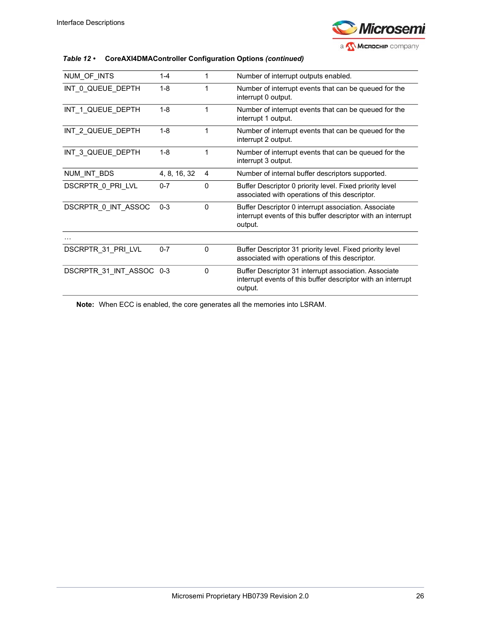

### *Table 12 •* **CoreAXI4DMAController Configuration Options** *(continued)*

| NUM_OF_INTS              | 1-4          |          | Number of interrupt outputs enabled.                                                                                             |
|--------------------------|--------------|----------|----------------------------------------------------------------------------------------------------------------------------------|
| INT 0 QUEUE DEPTH        | $1 - 8$      |          | Number of interrupt events that can be queued for the<br>interrupt 0 output.                                                     |
| INT 1 QUEUE DEPTH        | $1 - 8$      |          | Number of interrupt events that can be queued for the<br>interrupt 1 output.                                                     |
| INT 2 QUEUE DEPTH        | $1 - 8$      |          | Number of interrupt events that can be queued for the<br>interrupt 2 output.                                                     |
| INT_3_QUEUE_DEPTH        | $1 - 8$      | 1        | Number of interrupt events that can be queued for the<br>interrupt 3 output.                                                     |
| NUM_INT_BDS              | 4, 8, 16, 32 | 4        | Number of internal buffer descriptors supported.                                                                                 |
| DSCRPTR 0 PRI LVL        | $0 - 7$      | $\Omega$ | Buffer Descriptor 0 priority level. Fixed priority level<br>associated with operations of this descriptor.                       |
| DSCRPTR 0 INT ASSOC      | $0 - 3$      | $\Omega$ | Buffer Descriptor 0 interrupt association. Associate<br>interrupt events of this buffer descriptor with an interrupt<br>output.  |
|                          |              |          |                                                                                                                                  |
| DSCRPTR 31 PRI LVL       | $0 - 7$      | $\Omega$ | Buffer Descriptor 31 priority level. Fixed priority level<br>associated with operations of this descriptor.                      |
| DSCRPTR 31 INT ASSOC 0-3 |              | 0        | Buffer Descriptor 31 interrupt association. Associate<br>interrupt events of this buffer descriptor with an interrupt<br>output. |

**Note:** When ECC is enabled, the core generates all the memories into LSRAM.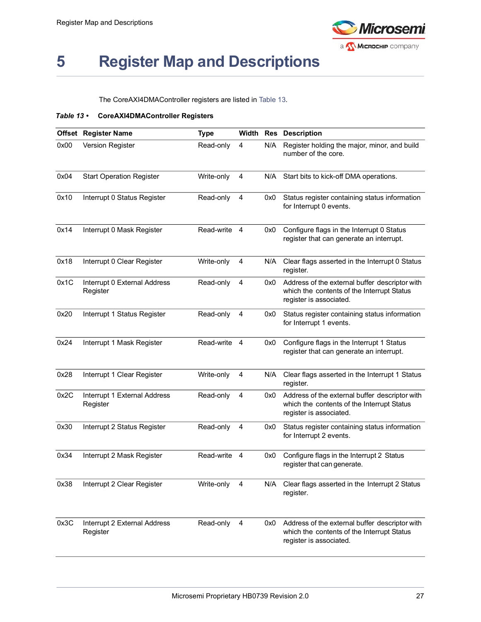

# <span id="page-32-0"></span>**5 Register Map and Descriptions**

<span id="page-32-2"></span>The CoreAXI4DMAController registers are listed in [Table](#page-32-1) 13.

### <span id="page-32-1"></span>*Table 13 •* **CoreAXI4DMAController Registers**

|      | Offset Register Name                     | <b>Type</b> | Width |     | <b>Res</b> Description                                                                                                  |
|------|------------------------------------------|-------------|-------|-----|-------------------------------------------------------------------------------------------------------------------------|
| 0x00 | <b>Version Register</b>                  | Read-only   | 4     | N/A | Register holding the major, minor, and build<br>number of the core.                                                     |
| 0x04 | <b>Start Operation Register</b>          | Write-only  | 4     | N/A | Start bits to kick-off DMA operations.                                                                                  |
| 0x10 | Interrupt 0 Status Register              | Read-only   | 4     | 0x0 | Status register containing status information<br>for Interrupt 0 events.                                                |
| 0x14 | Interrupt 0 Mask Register                | Read-write  | 4     | 0x0 | Configure flags in the Interrupt 0 Status<br>register that can generate an interrupt.                                   |
| 0x18 | Interrupt 0 Clear Register               | Write-only  | 4     | N/A | Clear flags asserted in the Interrupt 0 Status<br>register.                                                             |
| 0x1C | Interrupt 0 External Address<br>Register | Read-only   | 4     | 0x0 | Address of the external buffer descriptor with<br>which the contents of the Interrupt Status<br>register is associated. |
| 0x20 | Interrupt 1 Status Register              | Read-only   | 4     | 0x0 | Status register containing status information<br>for Interrupt 1 events.                                                |
| 0x24 | Interrupt 1 Mask Register                | Read-write  | 4     | 0x0 | Configure flags in the Interrupt 1 Status<br>register that can generate an interrupt.                                   |
| 0x28 | Interrupt 1 Clear Register               | Write-only  | 4     | N/A | Clear flags asserted in the Interrupt 1 Status<br>register.                                                             |
| 0x2C | Interrupt 1 External Address<br>Register | Read-only   | 4     | 0x0 | Address of the external buffer descriptor with<br>which the contents of the Interrupt Status<br>register is associated. |
| 0x30 | Interrupt 2 Status Register              | Read-only   | 4     | 0x0 | Status register containing status information<br>for Interrupt 2 events.                                                |
| 0x34 | Interrupt 2 Mask Register                | Read-write  | 4     | 0x0 | Configure flags in the Interrupt 2 Status<br>register that can generate.                                                |
| 0x38 | Interrupt 2 Clear Register               | Write-only  | 4     |     | N/A Clear flags asserted in the Interrupt 2 Status<br>register.                                                         |
| 0x3C | Interrupt 2 External Address<br>Register | Read-only   | 4     | 0x0 | Address of the external buffer descriptor with<br>which the contents of the Interrupt Status<br>register is associated. |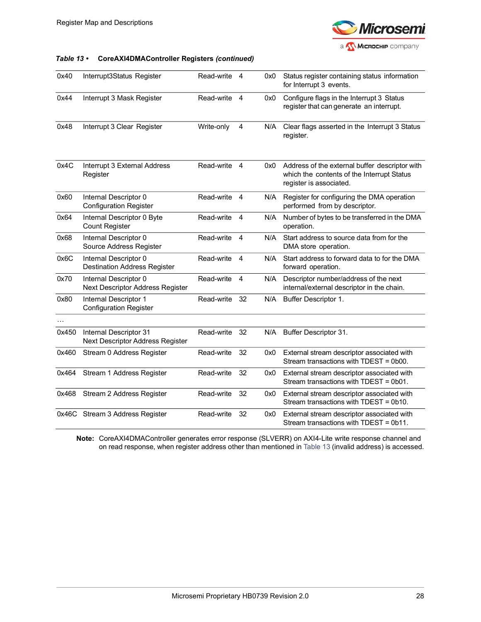

#### *Table 13 •* **CoreAXI4DMAController Registers** *(continued)*

| 0x40  | Interrupt3Status Register                                    | Read-write | 4  | 0x0 | Status register containing status information<br>for Interrupt 3 events.                                                |
|-------|--------------------------------------------------------------|------------|----|-----|-------------------------------------------------------------------------------------------------------------------------|
| 0x44  | Interrupt 3 Mask Register                                    | Read-write | 4  | 0x0 | Configure flags in the Interrupt 3 Status<br>register that can generate an interrupt.                                   |
| 0x48  | Interrupt 3 Clear Register                                   | Write-only | 4  | N/A | Clear flags asserted in the Interrupt 3 Status<br>register.                                                             |
| 0x4C  | Interrupt 3 External Address<br>Register                     | Read-write | 4  | 0x0 | Address of the external buffer descriptor with<br>which the contents of the Interrupt Status<br>register is associated. |
| 0x60  | Internal Descriptor 0<br><b>Configuration Register</b>       | Read-write | 4  | N/A | Register for configuring the DMA operation<br>performed from by descriptor.                                             |
| 0x64  | Internal Descriptor 0 Byte<br><b>Count Register</b>          | Read-write | 4  | N/A | Number of bytes to be transferred in the DMA<br>operation.                                                              |
| 0x68  | Internal Descriptor 0<br>Source Address Register             | Read-write | 4  | N/A | Start address to source data from for the<br>DMA store operation.                                                       |
| 0x6C  | Internal Descriptor 0<br><b>Destination Address Register</b> | Read-write | 4  | N/A | Start address to forward data to for the DMA<br>forward operation.                                                      |
| 0x70  | Internal Descriptor 0<br>Next Descriptor Address Register    | Read-write | 4  | N/A | Descriptor number/address of the next<br>internal/external descriptor in the chain.                                     |
| 0x80  | Internal Descriptor 1<br><b>Configuration Register</b>       | Read-write | 32 | N/A | Buffer Descriptor 1.                                                                                                    |
|       |                                                              |            |    |     |                                                                                                                         |
| 0x450 | Internal Descriptor 31<br>Next Descriptor Address Register   | Read-write | 32 |     | N/A Buffer Descriptor 31.                                                                                               |
| 0x460 | Stream 0 Address Register                                    | Read-write | 32 | 0x0 | External stream descriptor associated with<br>Stream transactions with TDEST = 0b00.                                    |
| 0x464 | Stream 1 Address Register                                    | Read-write | 32 | 0x0 | External stream descriptor associated with<br>Stream transactions with TDEST = 0b01.                                    |
| 0x468 | Stream 2 Address Register                                    | Read-write | 32 | 0x0 | External stream descriptor associated with<br>Stream transactions with TDEST = 0b10.                                    |
|       | 0x46C Stream 3 Address Register                              | Read-write | 32 | 0x0 | External stream descriptor associated with<br>Stream transactions with TDEST = 0b11.                                    |

**Note:** CoreAXI4DMAController generates error response (SLVERR) on AXI4-Lite write response channel and on read response, when register address other than mentioned in [Table](#page-32-1) 13 (invalid address) is accessed.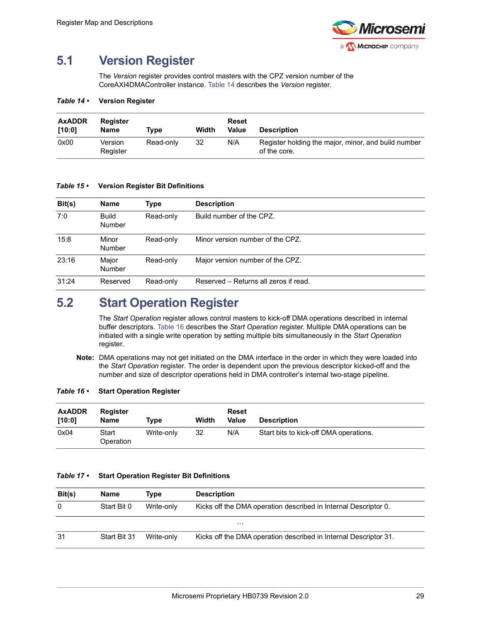

## <span id="page-34-0"></span>**5.1 Version Register**

The *Version* register provides control masters with the CPZ version number of the CoreAXI4DMAController instance. [Table](#page-34-2) 14 describes the *Version* register.

#### <span id="page-34-2"></span>*Table 14 •* **Version Register**

| <b>AxADDR</b><br>[10:0] | Register<br>Name    | Tvpe      | Width | Reset<br><b>Value</b> | <b>Description</b>                                                  |
|-------------------------|---------------------|-----------|-------|-----------------------|---------------------------------------------------------------------|
| 0x00                    | Version<br>Register | Read-only | 32    | N/A                   | Register holding the major, minor, and build number<br>of the core. |

#### <span id="page-34-3"></span>*Table 15 •* **Version Register Bit Definitions**

| Bit(s) | <b>Name</b>                   | Type      | <b>Description</b>                    |
|--------|-------------------------------|-----------|---------------------------------------|
| 7:0    | <b>Build</b><br><b>Number</b> | Read-only | Build number of the CPZ.              |
| 15:8   | Minor<br><b>Number</b>        | Read-only | Minor version number of the CPZ.      |
| 23:16  | Major<br><b>Number</b>        | Read-only | Major version number of the CPZ.      |
| 31:24  | Reserved                      | Read-only | Reserved – Returns all zeros if read. |

## <span id="page-34-1"></span>**5.2 Start Operation Register**

The *Start Operation* register allows control masters to kick-off DMA operations described in internal buffer descriptors. [Table](#page-34-4) 16 describes the *Start Operation* register. Multiple DMA operations can be initiated with a single write operation by setting multiple bits simultaneously in the *Start Operation* register.

**Note:** DMA operations may not get initiated on the DMA interface in the order in which they were loaded into the *Start Operation* register. The order is dependent upon the previous descriptor kicked-off and the number and size of descriptor operations held in DMA controller's internal two-stage pipeline.

#### <span id="page-34-4"></span>*Table 16 •* **Start Operation Register**

| <b>AxADDR</b><br>[10:0] | <b>Register</b><br><b>Name</b> | Tvpe       | Width | Reset<br>Value | <b>Description</b>                     |
|-------------------------|--------------------------------|------------|-------|----------------|----------------------------------------|
| 0x04                    | Start<br>Operation             | Write-only | 32    | N/A            | Start bits to kick-off DMA operations. |

### <span id="page-34-5"></span>*Table 17 •* **Start Operation Register Bit Definitions**

| Bit(s) | <b>Name</b>  | Type       | <b>Description</b>                                               |
|--------|--------------|------------|------------------------------------------------------------------|
| 0      | Start Bit 0  | Write-only | Kicks off the DMA operation described in Internal Descriptor 0.  |
|        |              |            | $\cdots$                                                         |
| 31     | Start Bit 31 | Write-only | Kicks off the DMA operation described in Internal Descriptor 31. |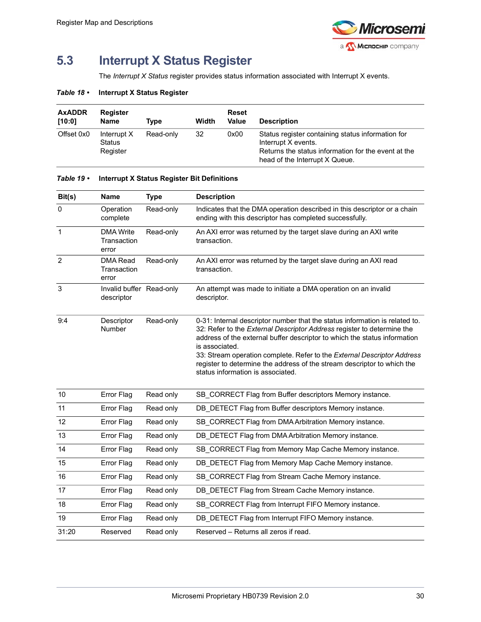

# <span id="page-35-0"></span>**5.3 Interrupt X Status Register**

The *Interrupt X Status* register provides status information associated with Interrupt X events.

### <span id="page-35-1"></span>*Table 18 •* **Interrupt X Status Register**

| <b>AxADDR</b><br>[10:0] | <b>Register</b><br><b>Name</b>    | Type      | Width | Reset<br>Value | <b>Description</b>                                                                                                                                                |
|-------------------------|-----------------------------------|-----------|-------|----------------|-------------------------------------------------------------------------------------------------------------------------------------------------------------------|
| Offset 0x0              | Interrupt X<br>Status<br>Register | Read-only | 32    | 0x00           | Status register containing status information for<br>Interrupt X events.<br>Returns the status information for the event at the<br>head of the Interrupt X Queue. |

| Bit(s)         | <b>Name</b>                              | <b>Type</b> | <b>Description</b>                                                                                                                                                                                                                                                                                                                                                                                                                              |
|----------------|------------------------------------------|-------------|-------------------------------------------------------------------------------------------------------------------------------------------------------------------------------------------------------------------------------------------------------------------------------------------------------------------------------------------------------------------------------------------------------------------------------------------------|
| $\mathbf{0}$   | Operation<br>complete                    | Read-only   | Indicates that the DMA operation described in this descriptor or a chain<br>ending with this descriptor has completed successfully.                                                                                                                                                                                                                                                                                                             |
| $\mathbf{1}$   | <b>DMA Write</b><br>Transaction<br>error | Read-only   | An AXI error was returned by the target slave during an AXI write<br>transaction.                                                                                                                                                                                                                                                                                                                                                               |
| $\overline{2}$ | <b>DMA</b> Read<br>Transaction<br>error  | Read-only   | An AXI error was returned by the target slave during an AXI read<br>transaction.                                                                                                                                                                                                                                                                                                                                                                |
| $\mathbf{3}$   | Invalid buffer Read-only<br>descriptor   |             | An attempt was made to initiate a DMA operation on an invalid<br>descriptor.                                                                                                                                                                                                                                                                                                                                                                    |
| 9:4            | Descriptor<br>Number                     | Read-only   | 0-31: Internal descriptor number that the status information is related to.<br>32: Refer to the External Descriptor Address register to determine the<br>address of the external buffer descriptor to which the status information<br>is associated.<br>33: Stream operation complete. Refer to the External Descriptor Address<br>register to determine the address of the stream descriptor to which the<br>status information is associated. |
| 10             | Error Flag                               | Read only   | SB CORRECT Flag from Buffer descriptors Memory instance.                                                                                                                                                                                                                                                                                                                                                                                        |
| 11             | Error Flag                               | Read only   | DB_DETECT Flag from Buffer descriptors Memory instance.                                                                                                                                                                                                                                                                                                                                                                                         |
| 12             | <b>Error Flag</b>                        | Read only   | SB_CORRECT Flag from DMA Arbitration Memory instance.                                                                                                                                                                                                                                                                                                                                                                                           |
| 13             | Error Flag                               | Read only   | DB DETECT Flag from DMA Arbitration Memory instance.                                                                                                                                                                                                                                                                                                                                                                                            |
| 14             | <b>Error Flag</b>                        | Read only   | SB_CORRECT Flag from Memory Map Cache Memory instance.                                                                                                                                                                                                                                                                                                                                                                                          |
| 15             | <b>Error Flag</b>                        | Read only   | DB DETECT Flag from Memory Map Cache Memory instance.                                                                                                                                                                                                                                                                                                                                                                                           |
| 16             | <b>Error Flag</b>                        | Read only   | SB_CORRECT Flag from Stream Cache Memory instance.                                                                                                                                                                                                                                                                                                                                                                                              |
| 17             | Error Flag                               | Read only   | DB DETECT Flag from Stream Cache Memory instance.                                                                                                                                                                                                                                                                                                                                                                                               |
| 18             | <b>Error Flag</b>                        | Read only   | SB_CORRECT Flag from Interrupt FIFO Memory instance.                                                                                                                                                                                                                                                                                                                                                                                            |
| 19             | Error Flag                               | Read only   | DB DETECT Flag from Interrupt FIFO Memory instance.                                                                                                                                                                                                                                                                                                                                                                                             |
| 31:20          | Reserved                                 | Read only   | Reserved - Returns all zeros if read.                                                                                                                                                                                                                                                                                                                                                                                                           |
|                |                                          |             |                                                                                                                                                                                                                                                                                                                                                                                                                                                 |

#### <span id="page-35-3"></span><span id="page-35-2"></span>*Table 19 •* **Interrupt X Status Register Bit Definitions**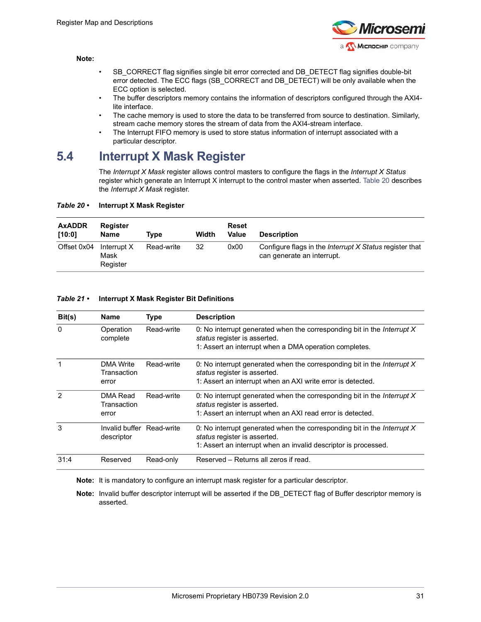

#### **Note:**

- SB CORRECT flag signifies single bit error corrected and DB DETECT flag signifies double-bit error detected. The ECC flags (SB\_CORRECT and DB\_DETECT) will be only available when the ECC option is selected.
- The buffer descriptors memory contains the information of descriptors configured through the AXI4 lite interface.
- The cache memory is used to store the data to be transferred from source to destination. Similarly, stream cache memory stores the stream of data from the AXI4-stream interface.
- The Interrupt FIFO memory is used to store status information of interrupt associated with a particular descriptor.

### <span id="page-36-0"></span>**5.4 Interrupt X Mask Register**

The *Interrupt X Mask* register allows control masters to configure the flags in the *Interrupt X Status* register which generate an Interrupt X interrupt to the control master when asserted. [Table](#page-36-1) 20 describes the *Interrupt X Mask* register.

#### <span id="page-36-1"></span>*Table 20 •* **Interrupt X Mask Register**

| <b>AxADDR</b><br>[10:0] | Register<br><b>Name</b>         | Tvpe       | Width | Reset<br>Value | <b>Description</b>                                                                           |
|-------------------------|---------------------------------|------------|-------|----------------|----------------------------------------------------------------------------------------------|
| Offset 0x04             | Interrupt X<br>Mask<br>Register | Read-write | 32    | 0x00           | Configure flags in the <i>Interrupt X Status</i> register that<br>can generate an interrupt. |

#### <span id="page-36-3"></span><span id="page-36-2"></span>*Table 21 •* **Interrupt X Mask Register Bit Definitions**

| Bit(s)         | <b>Name</b>                              | <b>Type</b> | <b>Description</b>                                                                                                                                                                |
|----------------|------------------------------------------|-------------|-----------------------------------------------------------------------------------------------------------------------------------------------------------------------------------|
| $\mathbf{0}$   | Operation<br>complete                    | Read-write  | 0: No interrupt generated when the corresponding bit in the <i>Interrupt X</i><br>status register is asserted.<br>1: Assert an interrupt when a DMA operation completes.          |
| 1              | <b>DMA Write</b><br>Transaction<br>error | Read-write  | 0: No interrupt generated when the corresponding bit in the <i>Interrupt X</i><br>status register is asserted.<br>1: Assert an interrupt when an AXI write error is detected.     |
| $\overline{2}$ | DMA Read<br>Transaction<br>error         | Read-write  | 0: No interrupt generated when the corresponding bit in the <i>Interrupt X</i><br>status register is asserted.<br>1: Assert an interrupt when an AXI read error is detected.      |
| 3              | Invalid buffer Read-write<br>descriptor  |             | 0: No interrupt generated when the corresponding bit in the <i>Interrupt X</i><br>status register is asserted.<br>1: Assert an interrupt when an invalid descriptor is processed. |
| 31:4           | Reserved                                 | Read-only   | Reserved - Returns all zeros if read.                                                                                                                                             |

**Note:** It is mandatory to configure an interrupt mask register for a particular descriptor.

**Note:** Invalid buffer descriptor interrupt will be asserted if the DB\_DETECT flag of Buffer descriptor memory is asserted.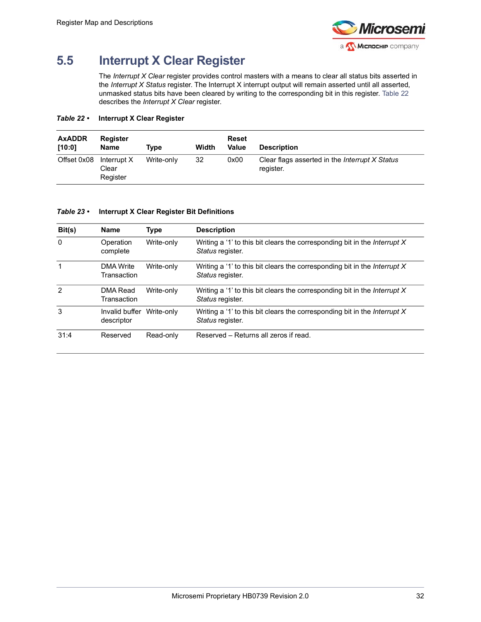

# <span id="page-37-0"></span>**5.5 Interrupt X Clear Register**

The *Interrupt X Clear* register provides control masters with a means to clear all status bits asserted in the *Interrupt X Status* register. The Interrupt X interrupt output will remain asserted until all asserted, unmasked status bits have been cleared by writing to the corresponding bit in this register. [Table](#page-37-1) 22 describes the *Interrupt X Clear* register.

### <span id="page-37-1"></span>*Table 22 •* **Interrupt X Clear Register**

| <b>AxADDR</b><br>[10:0] | Register<br><b>Name</b>          | Tvpe       | Width | <b>Reset</b><br>Value | <b>Description</b>                                          |
|-------------------------|----------------------------------|------------|-------|-----------------------|-------------------------------------------------------------|
| Offset 0x08             | Interrupt X<br>Clear<br>Register | Write-only | 32    | 0x00                  | Clear flags asserted in the Interrupt X Status<br>register. |

### <span id="page-37-2"></span>*Table 23 •* **Interrupt X Clear Register Bit Definitions**

| Bit(s)        | <b>Name</b>                             | <b>Type</b> | <b>Description</b>                                                                                     |
|---------------|-----------------------------------------|-------------|--------------------------------------------------------------------------------------------------------|
| $\mathbf{0}$  | Operation<br>complete                   | Write-only  | Writing a '1' to this bit clears the corresponding bit in the Interrupt $X$<br>Status register.        |
| 1             | <b>DMA Write</b><br>Transaction         | Write-only  | Writing a '1' to this bit clears the corresponding bit in the <i>Interrupt X</i><br>Status register.   |
| $\mathcal{P}$ | DMA Read<br>Transaction                 | Write-only  | Writing a '1' to this bit clears the corresponding bit in the <i>Interrupt</i> $X$<br>Status register. |
| 3             | Invalid buffer Write-only<br>descriptor |             | Writing a '1' to this bit clears the corresponding bit in the <i>Interrupt X</i><br>Status register.   |
| 31:4          | Reserved                                | Read-only   | Reserved - Returns all zeros if read.                                                                  |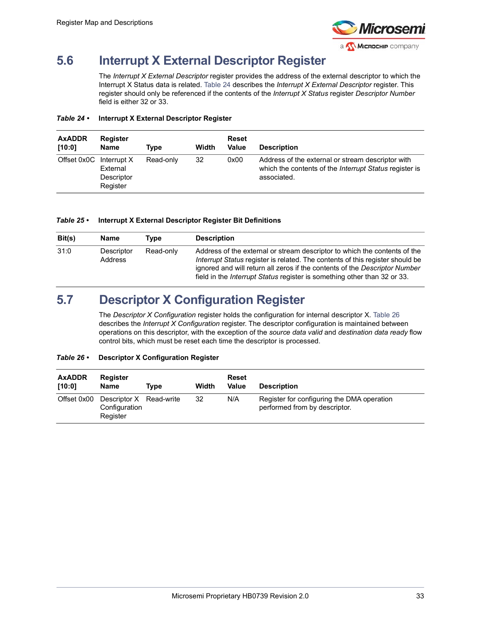

# <span id="page-38-0"></span>**5.6 Interrupt X External Descriptor Register**

The *Interrupt X External Descriptor* register provides the address of the external descriptor to which the Interrupt X Status data is related. [Table](#page-38-2) 24 describes the *Interrupt X External Descriptor* register. This register should only be referenced if the contents of the *Interrupt X Status* register *Descriptor Number* field is either 32 or 33.

#### <span id="page-38-2"></span>*Table 24 •* **Interrupt X External Descriptor Register**

| <b>AxADDR</b><br>[10:0] | Register<br><b>Name</b>            | Type      | Width | <b>Reset</b><br>Value | <b>Description</b>                                                                                                                |
|-------------------------|------------------------------------|-----------|-------|-----------------------|-----------------------------------------------------------------------------------------------------------------------------------|
| Offset 0x0C Interrupt X | External<br>Descriptor<br>Register | Read-only | 32    | 0x00                  | Address of the external or stream descriptor with<br>which the contents of the <i>Interrupt Status</i> register is<br>associated. |

#### <span id="page-38-3"></span>*Table 25 •* **Interrupt X External Descriptor Register Bit Definitions**

| Bit(s) | <b>Name</b>                  | Tvpe      | <b>Description</b>                                                                                                                                                                                                                                                                                                          |
|--------|------------------------------|-----------|-----------------------------------------------------------------------------------------------------------------------------------------------------------------------------------------------------------------------------------------------------------------------------------------------------------------------------|
| 31:0   | Descriptor<br><b>Address</b> | Read-only | Address of the external or stream descriptor to which the contents of the<br>Interrupt Status register is related. The contents of this register should be<br>ignored and will return all zeros if the contents of the Descriptor Number<br>field in the <i>Interrupt Status</i> register is something other than 32 or 33. |

### <span id="page-38-1"></span>**5.7 Descriptor X Configuration Register**

The *Descriptor X Configuration* register holds the configuration for internal descriptor X. [Table](#page-38-4) 26 describes the *Interrupt X Configuration* register. The descriptor configuration is maintained between operations on this descriptor, with the exception of the *source data valid* and *destination data ready* flow control bits, which must be reset each time the descriptor is processed.

### <span id="page-38-4"></span>*Table 26 •* **Descriptor X Configuration Register**

| <b>AxADDR</b><br>[10:0] | Register<br><b>Name</b>                              | Tvpe | Width | Reset<br>Value | <b>Description</b>                                                          |
|-------------------------|------------------------------------------------------|------|-------|----------------|-----------------------------------------------------------------------------|
| Offset 0x00             | Descriptor X Read-write<br>Configuration<br>Register |      | 32    | N/A            | Register for configuring the DMA operation<br>performed from by descriptor. |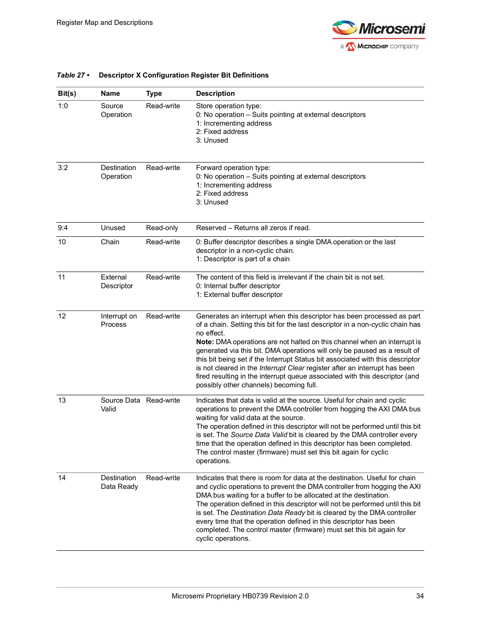

| Bit(s) | Name                            | <b>Type</b> | <b>Description</b>                                                                                                                                                                                                                                                                                                                                                                                                                                                                                                                                                                                                        |
|--------|---------------------------------|-------------|---------------------------------------------------------------------------------------------------------------------------------------------------------------------------------------------------------------------------------------------------------------------------------------------------------------------------------------------------------------------------------------------------------------------------------------------------------------------------------------------------------------------------------------------------------------------------------------------------------------------------|
| 1:0    | Source<br>Operation             | Read-write  | Store operation type:<br>0: No operation - Suits pointing at external descriptors<br>1: Incrementing address<br>2: Fixed address<br>3: Unused                                                                                                                                                                                                                                                                                                                                                                                                                                                                             |
| 3:2    | Destination<br>Operation        | Read-write  | Forward operation type:<br>0: No operation - Suits pointing at external descriptors<br>1: Incrementing address<br>2: Fixed address<br>3: Unused                                                                                                                                                                                                                                                                                                                                                                                                                                                                           |
| 9:4    | Unused                          | Read-only   | Reserved - Returns all zeros if read.                                                                                                                                                                                                                                                                                                                                                                                                                                                                                                                                                                                     |
| 10     | Chain                           | Read-write  | 0: Buffer descriptor describes a single DMA operation or the last<br>descriptor in a non-cyclic chain.<br>1: Descriptor is part of a chain                                                                                                                                                                                                                                                                                                                                                                                                                                                                                |
| 11     | External<br>Descriptor          | Read-write  | The content of this field is irrelevant if the chain bit is not set.<br>0: Internal buffer descriptor<br>1: External buffer descriptor                                                                                                                                                                                                                                                                                                                                                                                                                                                                                    |
| 12     | Interrupt on<br>Process         | Read-write  | Generates an interrupt when this descriptor has been processed as part<br>of a chain. Setting this bit for the last descriptor in a non-cyclic chain has<br>no effect.<br>Note: DMA operations are not halted on this channel when an interrupt is<br>generated via this bit. DMA operations will only be paused as a result of<br>this bit being set if the Interrupt Status bit associated with this descriptor<br>is not cleared in the Interrupt Clear register after an interrupt has been<br>fired resulting in the interrupt queue associated with this descriptor (and<br>possibly other channels) becoming full. |
| 13     | Source Data Read-write<br>Valid |             | Indicates that data is valid at the source. Useful for chain and cyclic<br>operations to prevent the DMA controller from hogging the AXI DMA bus<br>waiting for valid data at the source.<br>The operation defined in this descriptor will not be performed until this bit<br>is set. The Source Data Valid bit is cleared by the DMA controller every<br>time that the operation defined in this descriptor has been completed.<br>The control master (firmware) must set this bit again for cyclic<br>operations.                                                                                                       |
| 14     | Destination<br>Data Ready       | Read-write  | Indicates that there is room for data at the destination. Useful for chain<br>and cyclic operations to prevent the DMA controller from hogging the AXI<br>DMA bus waiting for a buffer to be allocated at the destination.<br>The operation defined in this descriptor will not be performed until this bit<br>is set. The Destination Data Ready bit is cleared by the DMA controller<br>every time that the operation defined in this descriptor has been<br>completed. The control master (firmware) must set this bit again for<br>cyclic operations.                                                                 |

### <span id="page-39-1"></span><span id="page-39-0"></span>*Table 27 •* **Descriptor X Configuration Register Bit Definitions**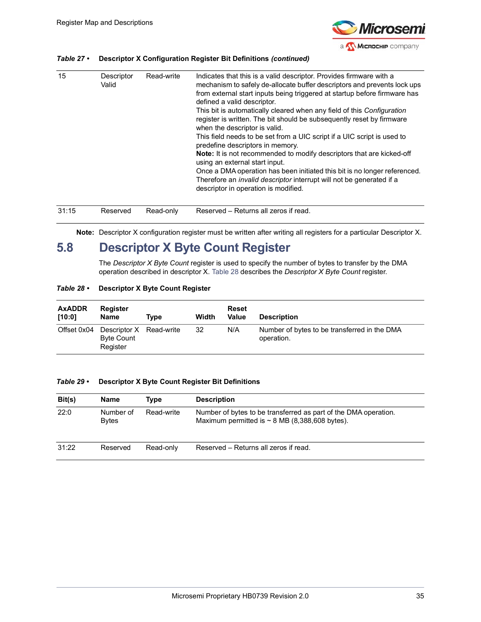

### *Table 27 •* **Descriptor X Configuration Register Bit Definitions** *(continued)*

| 15    | Descriptor<br>Valid | Read-write | Indicates that this is a valid descriptor. Provides firmware with a<br>mechanism to safely de-allocate buffer descriptors and prevents lock ups<br>from external start inputs being triggered at startup before firmware has<br>defined a valid descriptor.<br>This bit is automatically cleared when any field of this Configuration<br>register is written. The bit should be subsequently reset by firmware<br>when the descriptor is valid.<br>This field needs to be set from a UIC script if a UIC script is used to<br>predefine descriptors in memory.<br>Note: It is not recommended to modify descriptors that are kicked-off<br>using an external start input.<br>Once a DMA operation has been initiated this bit is no longer referenced.<br>Therefore an <i>invalid descriptor</i> interrupt will not be generated if a<br>descriptor in operation is modified. |
|-------|---------------------|------------|-------------------------------------------------------------------------------------------------------------------------------------------------------------------------------------------------------------------------------------------------------------------------------------------------------------------------------------------------------------------------------------------------------------------------------------------------------------------------------------------------------------------------------------------------------------------------------------------------------------------------------------------------------------------------------------------------------------------------------------------------------------------------------------------------------------------------------------------------------------------------------|
| 31:15 | Reserved            | Read-only  | Reserved – Returns all zeros if read.                                                                                                                                                                                                                                                                                                                                                                                                                                                                                                                                                                                                                                                                                                                                                                                                                                         |

**Note:** Descriptor X configuration register must be written after writing all registers for a particular Descriptor X.

### <span id="page-40-0"></span>**5.8 Descriptor X Byte Count Register**

The *Descriptor X Byte Count* register is used to specify the number of bytes to transfer by the DMA operation described in descriptor X. [Table](#page-40-1) 28 describes the *Descriptor X Byte Count* register.

#### <span id="page-40-1"></span>*Table 28 •* **Descriptor X Byte Count Register**

| <b>AxADDR</b><br>[10:0] | Register<br><b>Name</b>                                  | Tvpe | Width | Reset<br>Value | <b>Description</b>                                         |
|-------------------------|----------------------------------------------------------|------|-------|----------------|------------------------------------------------------------|
| Offset 0x04             | Descriptor X Read-write<br><b>Byte Count</b><br>Register |      | 32    | N/A            | Number of bytes to be transferred in the DMA<br>operation. |

#### <span id="page-40-2"></span>*Table 29 •* **Descriptor X Byte Count Register Bit Definitions**

| Bit(s) | Name                      | Tvpe       | <b>Description</b>                                                                                                     |
|--------|---------------------------|------------|------------------------------------------------------------------------------------------------------------------------|
| 22:0   | Number of<br><b>Bytes</b> | Read-write | Number of bytes to be transferred as part of the DMA operation.<br>Maximum permitted is $\sim$ 8 MB (8,388,608 bytes). |
| 31:22  | Reserved                  | Read-only  | Reserved – Returns all zeros if read.                                                                                  |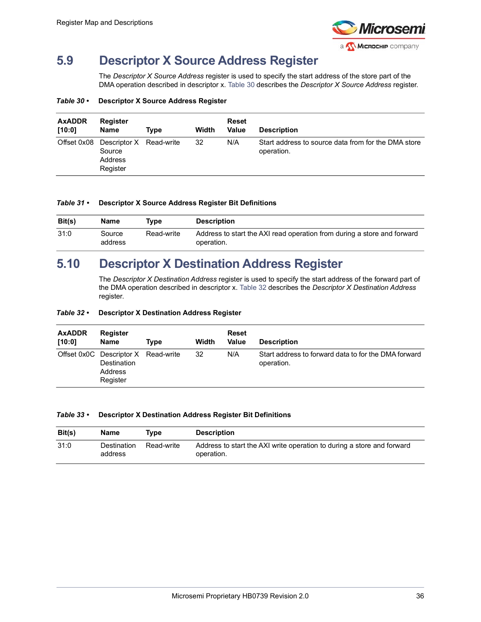

## <span id="page-41-0"></span>**5.9 Descriptor X Source Address Register**

The *Descriptor X Source Address* register is used to specify the start address of the store part of the DMA operation described in descriptor x. [Table](#page-41-2) 30 describes the *Descriptor X Source Address* register.

#### <span id="page-41-2"></span>*Table 30 •* **Descriptor X Source Address Register**

| <b>AxADDR</b><br>[10:0] | Register<br><b>Name</b>                                  | Type | Width | <b>Reset</b><br><b>Value</b> | <b>Description</b>                                                |
|-------------------------|----------------------------------------------------------|------|-------|------------------------------|-------------------------------------------------------------------|
| Offset 0x08             | Descriptor X Read-write<br>Source<br>Address<br>Register |      | 32    | N/A                          | Start address to source data from for the DMA store<br>operation. |

#### <span id="page-41-3"></span>*Table 31 •* **Descriptor X Source Address Register Bit Definitions**

| Bit(s) | Name              | Tvpe       | <b>Description</b>                                                                    |
|--------|-------------------|------------|---------------------------------------------------------------------------------------|
| 31:0   | Source<br>address | Read-write | Address to start the AXI read operation from during a store and forward<br>operation. |

### <span id="page-41-1"></span>**5.10 Descriptor X Destination Address Register**

The *Descriptor X Destination Address* register is used to specify the start address of the forward part of the DMA operation described in descriptor x. [Table](#page-41-4) 32 describes the *Descriptor X Destination Address* register.

#### <span id="page-41-4"></span>*Table 32 •* **Descriptor X Destination Address Register**

| <b>AxADDR</b><br>[10:0] | <b>Register</b><br>Name                                                          | Tvpe | Width | <b>Reset</b><br>Value | <b>Description</b>                                                 |
|-------------------------|----------------------------------------------------------------------------------|------|-------|-----------------------|--------------------------------------------------------------------|
|                         | Offset 0x0C Descriptor X Read-write<br><b>Destination</b><br>Address<br>Register |      | 32    | N/A                   | Start address to forward data to for the DMA forward<br>operation. |

#### <span id="page-41-5"></span>*Table 33 •* **Descriptor X Destination Address Register Bit Definitions**

| Bit(s) | Name                   | Tvpe       | <b>Description</b>                                                                   |
|--------|------------------------|------------|--------------------------------------------------------------------------------------|
| 31:0   | Destination<br>address | Read-write | Address to start the AXI write operation to during a store and forward<br>operation. |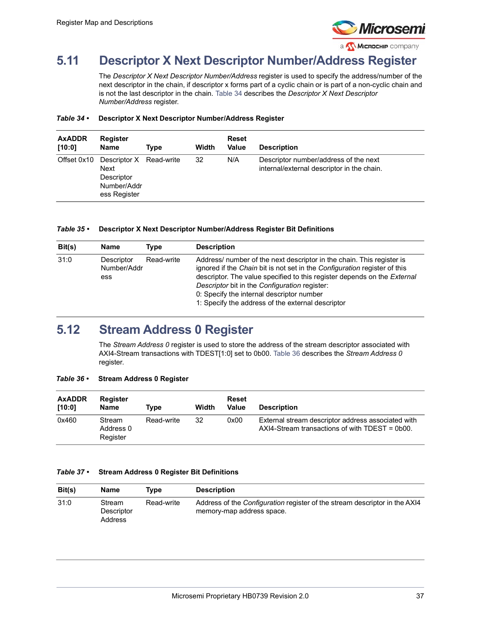

# <span id="page-42-0"></span>**5.11 Descriptor X Next Descriptor Number/Address Register**

The *Descriptor X Next Descriptor Number/Address* register is used to specify the address/number of the next descriptor in the chain, if descriptor x forms part of a cyclic chain or is part of a non-cyclic chain and is not the last descriptor in the chain. [Table](#page-42-2) 34 describes the *Descriptor X Next Descriptor Number/Address* register.

#### <span id="page-42-2"></span>*Table 34 •* **Descriptor X Next Descriptor Number/Address Register**

| <b>AxADDR</b><br>[10:0] | <b>Register</b><br>Name                                                             | Type | Width | <b>Reset</b><br>Value | <b>Description</b>                                                                  |
|-------------------------|-------------------------------------------------------------------------------------|------|-------|-----------------------|-------------------------------------------------------------------------------------|
| Offset 0x10             | Descriptor X Read-write<br>Next<br><b>Descriptor</b><br>Number/Addr<br>ess Register |      | 32    | N/A                   | Descriptor number/address of the next<br>internal/external descriptor in the chain. |

#### <span id="page-42-3"></span>*Table 35 •* **Descriptor X Next Descriptor Number/Address Register Bit Definitions**

| Bit(s) | <b>Name</b>                      | Type       | <b>Description</b>                                                                                                                                                                                                                                                                                                                                                                |
|--------|----------------------------------|------------|-----------------------------------------------------------------------------------------------------------------------------------------------------------------------------------------------------------------------------------------------------------------------------------------------------------------------------------------------------------------------------------|
| 31:0   | Descriptor<br>Number/Addr<br>ess | Read-write | Address/ number of the next descriptor in the chain. This register is<br>ignored if the Chain bit is not set in the Configuration register of this<br>descriptor. The value specified to this register depends on the External<br>Descriptor bit in the Configuration register:<br>0: Specify the internal descriptor number<br>1: Specify the address of the external descriptor |

### <span id="page-42-1"></span>**5.12 Stream Address 0 Register**

The *Stream Address 0* register is used to store the address of the stream descriptor associated with AXI4-Stream transactions with TDEST[1:0] set to 0b00. [Table](#page-42-4) 36 describes the *Stream Address 0* register.

#### <span id="page-42-4"></span>*Table 36 •* **Stream Address 0 Register**

| <b>AxADDR</b><br>[10:0] | <b>Register</b><br><b>Name</b>  | Tvpe       | Width | Reset<br>Value | <b>Description</b>                                                                                     |
|-------------------------|---------------------------------|------------|-------|----------------|--------------------------------------------------------------------------------------------------------|
| 0x460                   | Stream<br>Address 0<br>Register | Read-write | 32    | 0x00           | External stream descriptor address associated with<br>$AXI4-Stream$ transactions of with TDEST = 0b00. |

#### <span id="page-42-5"></span>*Table 37 •* **Stream Address 0 Register Bit Definitions**

| Bit(s) | Name                            | Tvpe       | <b>Description</b>                                                                                             |
|--------|---------------------------------|------------|----------------------------------------------------------------------------------------------------------------|
| 31:0   | Stream<br>Descriptor<br>Address | Read-write | Address of the <i>Configuration</i> register of the stream descriptor in the AXI4<br>memory-map address space. |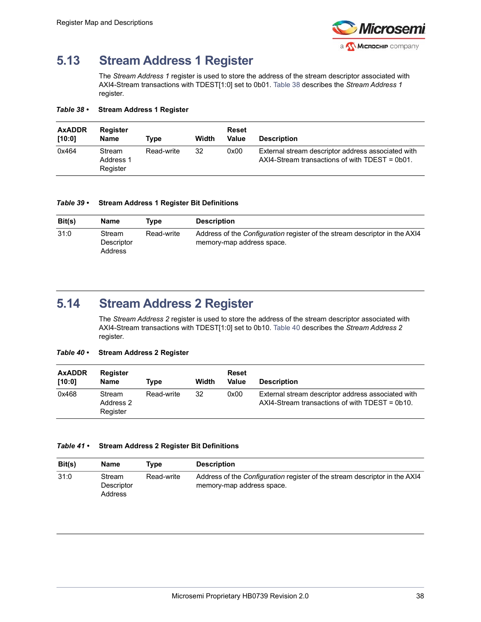

## <span id="page-43-0"></span>**5.13 Stream Address 1 Register**

The *Stream Address 1* register is used to store the address of the stream descriptor associated with AXI4-Stream transactions with TDEST[1:0] set to 0b01. [Table](#page-43-2) 38 describes the *Stream Address 1* register.

<span id="page-43-2"></span>*Table 38 •* **Stream Address 1 Register**

| <b>AxADDR</b><br>[10:0] | Register<br>Name                | Tvpe       | Width | Reset<br>Value | <b>Description</b>                                                                                     |
|-------------------------|---------------------------------|------------|-------|----------------|--------------------------------------------------------------------------------------------------------|
| 0x464                   | Stream<br>Address 1<br>Register | Read-write | 32    | 0x00           | External stream descriptor address associated with<br>$AXI4-Stream$ transactions of with TDEST = 0b01. |

### <span id="page-43-3"></span>*Table 39 •* **Stream Address 1 Register Bit Definitions**

| Bit(s) | Name                            | Tvpe       | <b>Description</b>                                                                                             |
|--------|---------------------------------|------------|----------------------------------------------------------------------------------------------------------------|
| 31:0   | Stream<br>Descriptor<br>Address | Read-write | Address of the <i>Configuration</i> register of the stream descriptor in the AXI4<br>memory-map address space. |

## <span id="page-43-1"></span>**5.14 Stream Address 2 Register**

The *Stream Address 2* register is used to store the address of the stream descriptor associated with AXI4-Stream transactions with TDEST[1:0] set to 0b10. [Table](#page-43-4) 40 describes the *Stream Address 2* register.

### <span id="page-43-4"></span>*Table 40 •* **Stream Address 2 Register**

| <b>AxADDR</b><br>[10:0] | Register<br>Name                | Tvpe       | Width | Reset<br>Value | <b>Description</b>                                                                                     |
|-------------------------|---------------------------------|------------|-------|----------------|--------------------------------------------------------------------------------------------------------|
| 0x468                   | Stream<br>Address 2<br>Register | Read-write | 32    | 0x00           | External stream descriptor address associated with<br>$AXI4-Stream$ transactions of with TDEST = 0b10. |

### <span id="page-43-5"></span>*Table 41 •* **Stream Address 2 Register Bit Definitions**

| Bit(s) | Name                                   | Tvpe       | <b>Description</b>                                                                                             |
|--------|----------------------------------------|------------|----------------------------------------------------------------------------------------------------------------|
| 31:0   | Stream<br>Descriptor<br><b>Address</b> | Read-write | Address of the <i>Configuration</i> register of the stream descriptor in the AXI4<br>memory-map address space. |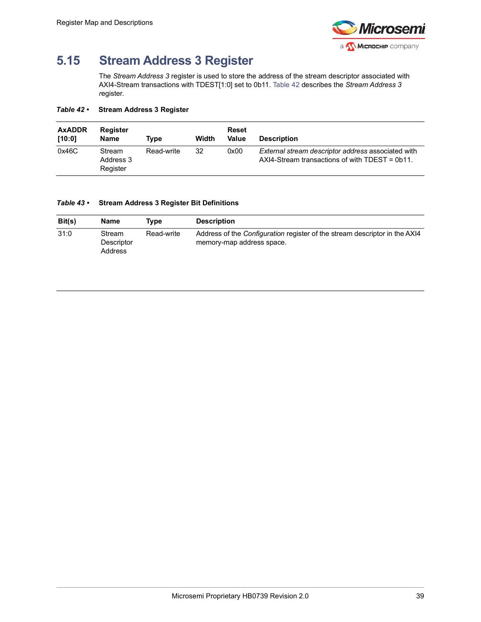

# <span id="page-44-0"></span>**5.15 Stream Address 3 Register**

The *Stream Address 3* register is used to store the address of the stream descriptor associated with AXI4-Stream transactions with TDEST[1:0] set to 0b11. [Table](#page-44-1) 42 describes the *Stream Address 3 r*egister.

### <span id="page-44-1"></span>*Table 42 •* **Stream Address 3 Register**

| <b>AxADDR</b><br>[10:0] | <b>Register</b><br><b>Name</b>  | Tvpe       | Width | Reset<br>Value | <b>Description</b>                                                                                     |
|-------------------------|---------------------------------|------------|-------|----------------|--------------------------------------------------------------------------------------------------------|
| 0x46C                   | Stream<br>Address 3<br>Register | Read-write | 32    | 0x00           | External stream descriptor address associated with<br>$AXI4-Stream$ transactions of with TDEST = 0b11. |

### <span id="page-44-2"></span>*Table 43 •* **Stream Address 3 Register Bit Definitions**

| Bit(s) | Name                            | Tvpe       | <b>Description</b>                                                                                             |
|--------|---------------------------------|------------|----------------------------------------------------------------------------------------------------------------|
| 31:0   | Stream<br>Descriptor<br>Address | Read-write | Address of the <i>Configuration</i> register of the stream descriptor in the AXI4<br>memory-map address space. |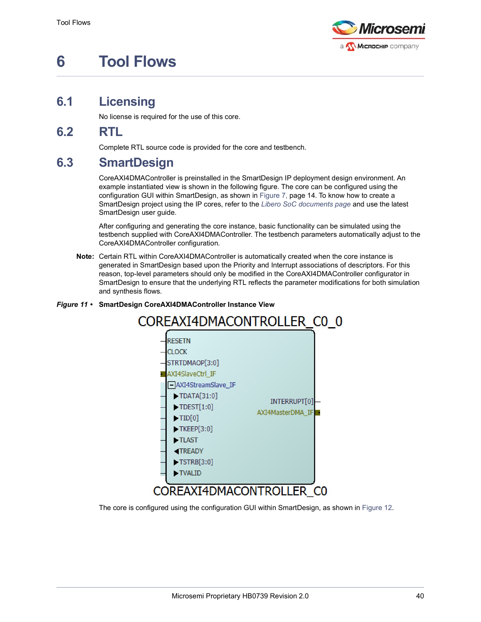

# <span id="page-45-0"></span>**6 Tool Flows**

## <span id="page-45-1"></span>**6.1 Licensing**

<span id="page-45-5"></span>No license is required for the use of this core.

### <span id="page-45-2"></span>**6.2 RTL**

<span id="page-45-6"></span>Complete RTL source code is provided for the core and testbench.

## <span id="page-45-3"></span>**6.3 SmartDesign**

CoreAXI4DMAController is preinstalled in the SmartDesign IP deployment design environment. An example instantiated view is shown in the following figure. The core can be configured using the configuration GUI within SmartDesign, as shown in Figure [7, page](#page-19-2) 14. To know how to create a SmartDesign project using the IP cores, refer to the *[Libero SoC documents page](https://www.microsemi.com/product-directory/design-resources/1750-libero-soc#documents)* and use the latest SmartDesign user guide.

After configuring and generating the core instance, basic functionality can be simulated using the testbench supplied with CoreAXI4DMAController. The testbench parameters automatically adjust to the CoreAXI4DMAController configuration.

**Note:** Certain RTL within CoreAXI4DMAController is automatically created when the core instance is generated in SmartDesign based upon the Priority and Interrupt associations of descriptors. For this reason, top-level parameters should only be modified in the CoreAXI4DMAController configurator in SmartDesign to ensure that the underlying RTL reflects the parameter modifications for both simulation and synthesis flows.

### <span id="page-45-7"></span><span id="page-45-4"></span>*Figure 11 •* **SmartDesign CoreAXI4DMAController Instance View**



The core is configured using the configuration GUI within SmartDesign, as shown in [Figure](#page-46-0) 12.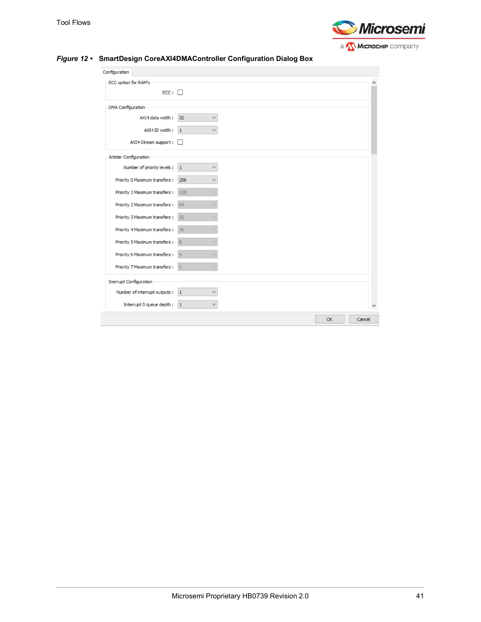

<span id="page-46-1"></span>

| ECC option for RAM's              |                           |  |  |
|-----------------------------------|---------------------------|--|--|
| ECC:                              |                           |  |  |
| <b>DMA</b> Configuration          |                           |  |  |
| AXI4 data width:                  | 32                        |  |  |
| AXI4 ID width:                    | $\vert$ 1<br>$\checkmark$ |  |  |
| AXI4-Stream support:              | $\mathbf{L}$              |  |  |
| Arbiter Configuration             |                           |  |  |
| Number of priority levels :       | $\vert$ 1                 |  |  |
| Priority 0 Maximum transfers: 256 |                           |  |  |
| Priority 1 Maximum transfers :    | 128                       |  |  |
| Priority 2 Maximum transfers: 64  |                           |  |  |
| Priority 3 Maximum transfers :    | 32                        |  |  |
| Priority 4 Maximum transfers :    | 16                        |  |  |
| Priority 5 Maximum transfers :    | 8                         |  |  |
| Priority 6 Maximum transfers :    | $\overline{4}$            |  |  |
| Priority 7 Maximum transfers :    | $\mathbf{1}$              |  |  |
| Inerrupt Configuration            |                           |  |  |
| Number of interrupt outputs :     | $\vert$ 1                 |  |  |
| Interrupt 0 queue depth :         | $\vert$ 1                 |  |  |

### <span id="page-46-0"></span>*Figure 12 •* **SmartDesign CoreAXI4DMAController Configuration Dialog Box**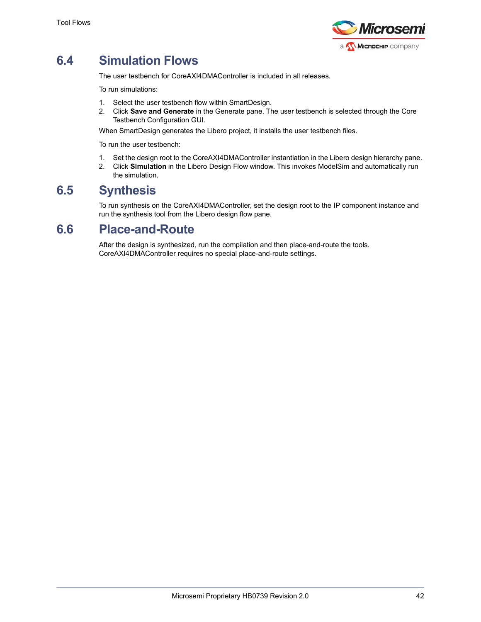

# <span id="page-47-0"></span>**6.4 Simulation Flows**

The user testbench for CoreAXI4DMAController is included in all releases.

To run simulations:

- 1. Select the user testbench flow within SmartDesign.
- 2. Click **Save and Generate** in the Generate pane. The user testbench is selected through the Core Testbench Configuration GUI.

When SmartDesign generates the Libero project, it installs the user testbench files.

To run the user testbench:

- 1. Set the design root to the CoreAXI4DMAController instantiation in the Libero design hierarchy pane.
- 2. Click **Simulation** in the Libero Design Flow window. This invokes ModelSim and automatically run the simulation.

### <span id="page-47-1"></span>**6.5 Synthesis**

To run synthesis on the CoreAXI4DMAController, set the design root to the IP component instance and run the synthesis tool from the Libero design flow pane.

### <span id="page-47-2"></span>**6.6 Place-and-Route**

After the design is synthesized, run the compilation and then place-and-route the tools. CoreAXI4DMAController requires no special place-and-route settings.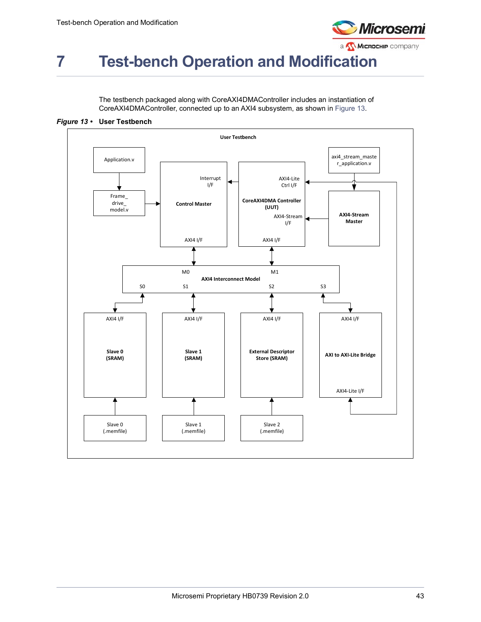

# <span id="page-48-0"></span>**7 Test-bench Operation and Modification**

The testbench packaged along with CoreAXI4DMAController includes an instantiation of CoreAXI4DMAController, connected up to an AXI4 subsystem, as shown in [Figure](#page-48-1) 13.

<span id="page-48-1"></span>